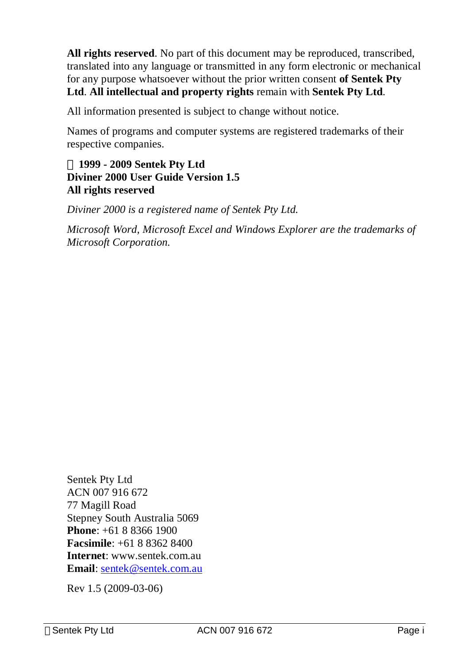**All rights reserved**. No part of this document may be reproduced, transcribed, translated into any language or transmitted in any form electronic or mechanical for any purpose whatsoever without the prior written consent **of Sentek Pty Ltd**. **All intellectual and property rights** remain with **Sentek Pty Ltd**.

All information presented is subject to change without notice.

Names of programs and computer systems are registered trademarks of their respective companies.

#### **Ó 1999 - 2009 Sentek Pty Ltd Diviner 2000 User Guide Version 1.5 All rights reserved**

*Diviner 2000 is a registered name of Sentek Pty Ltd.* 

*Microsoft Word, Microsoft Excel and Windows Explorer are the trademarks of Microsoft Corporation.* 

Sentek Pty Ltd ACN 007 916 672 77 Magill Road Stepney South Australia 5069 **Phone**: +61 8 8366 1900 **Facsimile**: +61 8 8362 8400 **Internet**: www.sentek.com.au **Email**: sentek@sentek.com.au

Rev 1.5 (2009-03-06)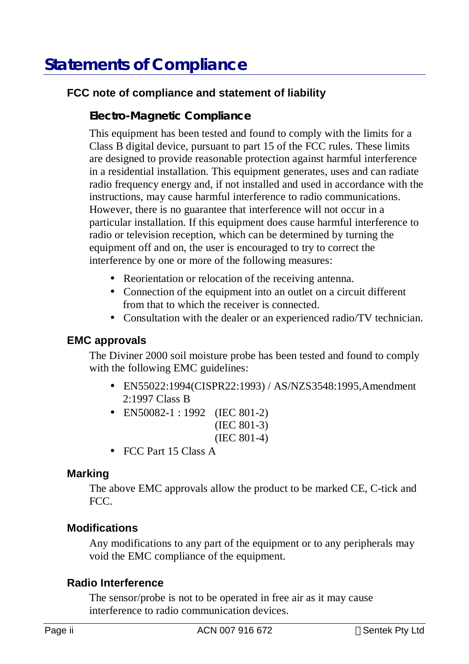# **Statements of Compliance**

#### **FCC note of compliance and statement of liability**

#### **Electro-Magnetic Compliance**

This equipment has been tested and found to comply with the limits for a Class B digital device, pursuant to part 15 of the FCC rules. These limits are designed to provide reasonable protection against harmful interference in a residential installation. This equipment generates, uses and can radiate radio frequency energy and, if not installed and used in accordance with the instructions, may cause harmful interference to radio communications. However, there is no guarantee that interference will not occur in a particular installation. If this equipment does cause harmful interference to radio or television reception, which can be determined by turning the equipment off and on, the user is encouraged to try to correct the interference by one or more of the following measures:

- Reorientation or relocation of the receiving antenna.
- Connection of the equipment into an outlet on a circuit different from that to which the receiver is connected.
- Consultation with the dealer or an experienced radio/TV technician.

#### **EMC approvals**

The Diviner 2000 soil moisture probe has been tested and found to comply with the following EMC guidelines:

- EN55022:1994(CISPR22:1993) / AS/NZS3548:1995,Amendment 2:1997 Class B
- EN50082-1 : 1992 (IEC 801-2) (IEC 801-3) (IEC 801-4)
- FCC Part 15 Class A

#### **Marking**

The above EMC approvals allow the product to be marked CE, C-tick and FCC.

#### **Modifications**

Any modifications to any part of the equipment or to any peripherals may void the EMC compliance of the equipment.

#### **Radio Interference**

The sensor/probe is not to be operated in free air as it may cause interference to radio communication devices.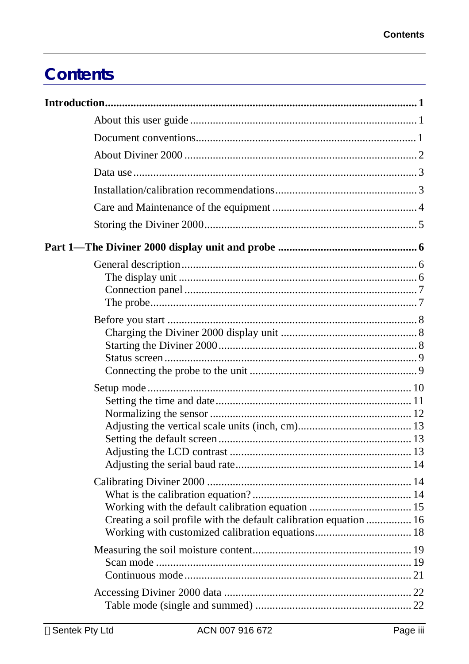# **Contents**

| Creating a soil profile with the default calibration equation  16 |
|-------------------------------------------------------------------|
|                                                                   |
|                                                                   |
|                                                                   |
|                                                                   |
|                                                                   |
|                                                                   |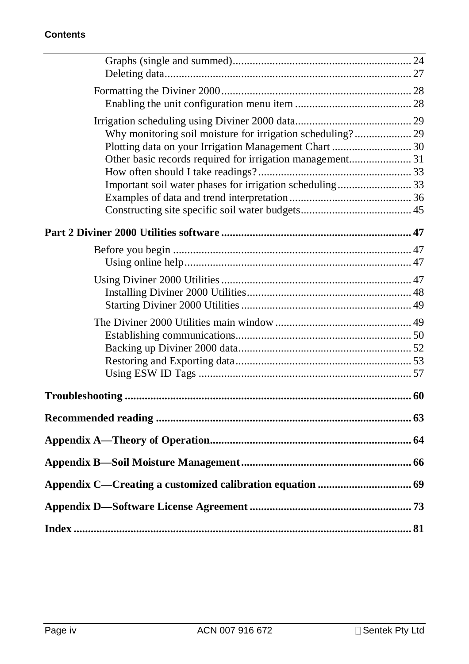#### **Contents**

| Why monitoring soil moisture for irrigation scheduling?29 |  |
|-----------------------------------------------------------|--|
| Plotting data on your Irrigation Management Chart  30     |  |
| Other basic records required for irrigation management 31 |  |
|                                                           |  |
| Important soil water phases for irrigation scheduling33   |  |
|                                                           |  |
|                                                           |  |
|                                                           |  |
|                                                           |  |
|                                                           |  |
|                                                           |  |
|                                                           |  |
|                                                           |  |
|                                                           |  |
|                                                           |  |
|                                                           |  |
|                                                           |  |
|                                                           |  |
|                                                           |  |
|                                                           |  |
|                                                           |  |
|                                                           |  |
|                                                           |  |
|                                                           |  |
|                                                           |  |
|                                                           |  |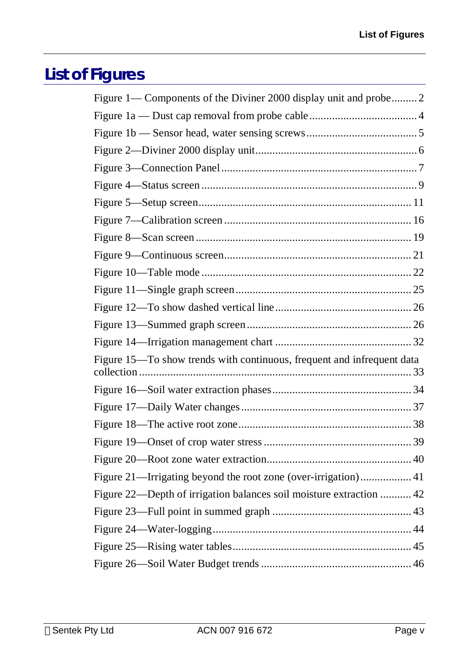# **List of Figures**

| Figure 1— Components of the Diviner 2000 display unit and probe 2      |  |
|------------------------------------------------------------------------|--|
|                                                                        |  |
|                                                                        |  |
|                                                                        |  |
|                                                                        |  |
|                                                                        |  |
|                                                                        |  |
|                                                                        |  |
|                                                                        |  |
|                                                                        |  |
|                                                                        |  |
|                                                                        |  |
|                                                                        |  |
|                                                                        |  |
|                                                                        |  |
| Figure 15—To show trends with continuous, frequent and infrequent data |  |
|                                                                        |  |
|                                                                        |  |
|                                                                        |  |
|                                                                        |  |
|                                                                        |  |
|                                                                        |  |
|                                                                        |  |
| Figure 22—Depth of irrigation balances soil moisture extraction  42    |  |
|                                                                        |  |
|                                                                        |  |
|                                                                        |  |
|                                                                        |  |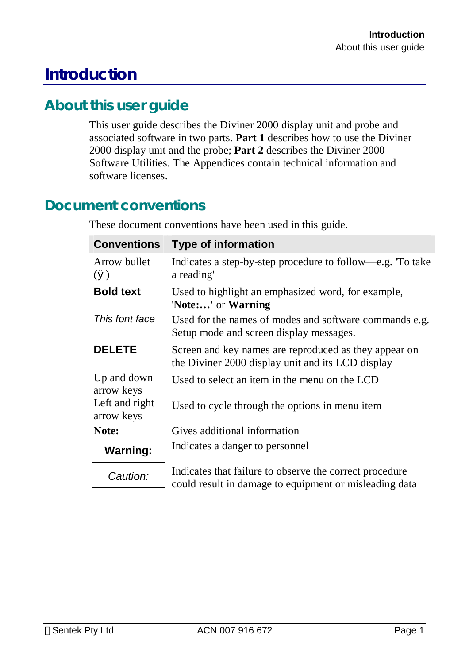# **Introduction**

# **About this user guide**

This user guide describes the Diviner 2000 display unit and probe and associated software in two parts. **Part 1** describes how to use the Diviner 2000 display unit and the probe; **Part 2** describes the Diviner 2000 Software Utilities. The Appendices contain technical information and software licenses.

# **Document conventions**

These document conventions have been used in this guide.

| <b>Conventions</b>              | <b>Type of information</b>                                                                                        |
|---------------------------------|-------------------------------------------------------------------------------------------------------------------|
| Arrow bullet<br>$\mathcal{O}()$ | Indicates a step-by-step procedure to follow—e.g. To take<br>a reading'                                           |
| <b>Bold text</b>                | Used to highlight an emphasized word, for example,<br>'Note:' or Warning                                          |
| This font face                  | Used for the names of modes and software commands e.g.<br>Setup mode and screen display messages.                 |
| <b>DELETE</b>                   | Screen and key names are reproduced as they appear on<br>the Diviner 2000 display unit and its LCD display        |
| Up and down<br>arrow keys       | Used to select an item in the menu on the LCD                                                                     |
| Left and right<br>arrow keys    | Used to cycle through the options in menu item                                                                    |
| Note:                           | Gives additional information                                                                                      |
| <b>Warning:</b>                 | Indicates a danger to personnel                                                                                   |
| Caution:                        | Indicates that failure to observe the correct procedure<br>could result in damage to equipment or misleading data |
|                                 |                                                                                                                   |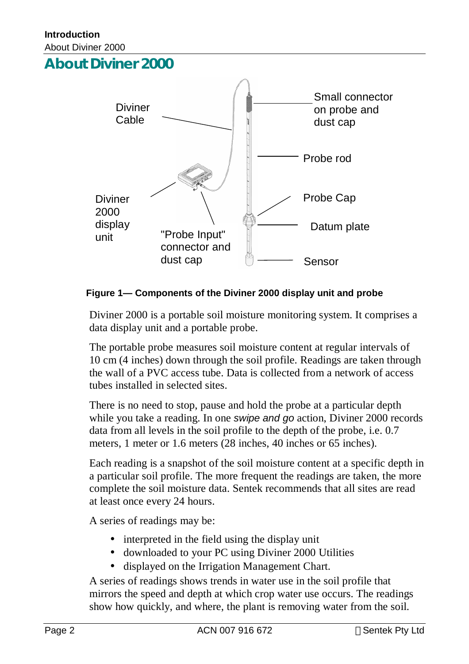# **About Diviner 2000**



#### **Figure 1— Components of the Diviner 2000 display unit and probe**

Diviner 2000 is a portable soil moisture monitoring system. It comprises a data display unit and a portable probe.

The portable probe measures soil moisture content at regular intervals of 10 cm (4 inches) down through the soil profile. Readings are taken through the wall of a PVC access tube. Data is collected from a network of access tubes installed in selected sites.

There is no need to stop, pause and hold the probe at a particular depth while you take a reading. In one *swipe and go* action, Diviner 2000 records data from all levels in the soil profile to the depth of the probe, i.e. 0.7 meters, 1 meter or 1.6 meters (28 inches, 40 inches or 65 inches).

Each reading is a snapshot of the soil moisture content at a specific depth in a particular soil profile. The more frequent the readings are taken, the more complete the soil moisture data. Sentek recommends that all sites are read at least once every 24 hours.

A series of readings may be:

- interpreted in the field using the display unit
- downloaded to your PC using Diviner 2000 Utilities
- displayed on the Irrigation Management Chart.

A series of readings shows trends in water use in the soil profile that mirrors the speed and depth at which crop water use occurs. The readings show how quickly, and where, the plant is removing water from the soil.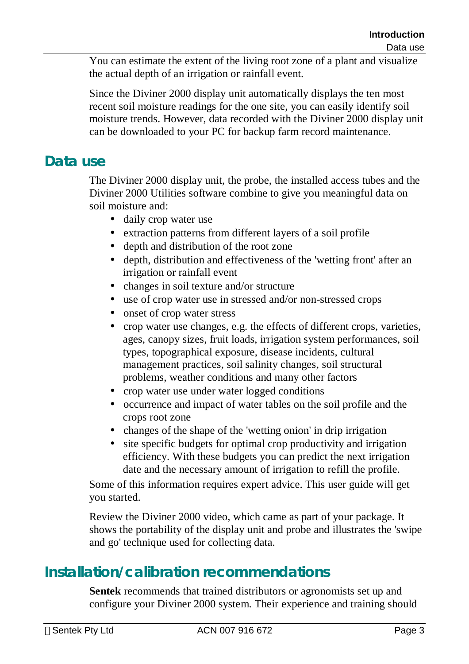You can estimate the extent of the living root zone of a plant and visualize the actual depth of an irrigation or rainfall event.

Since the Diviner 2000 display unit automatically displays the ten most recent soil moisture readings for the one site, you can easily identify soil moisture trends. However, data recorded with the Diviner 2000 display unit can be downloaded to your PC for backup farm record maintenance.

# **Data use**

The Diviner 2000 display unit, the probe, the installed access tubes and the Diviner 2000 Utilities software combine to give you meaningful data on soil moisture and:

- daily crop water use
- extraction patterns from different layers of a soil profile
- depth and distribution of the root zone
- depth, distribution and effectiveness of the 'wetting front' after an irrigation or rainfall event
- changes in soil texture and/or structure
- use of crop water use in stressed and/or non-stressed crops
- onset of crop water stress
- crop water use changes, e.g. the effects of different crops, varieties, ages, canopy sizes, fruit loads, irrigation system performances, soil types, topographical exposure, disease incidents, cultural management practices, soil salinity changes, soil structural problems, weather conditions and many other factors
- crop water use under water logged conditions
- occurrence and impact of water tables on the soil profile and the crops root zone
- changes of the shape of the 'wetting onion' in drip irrigation
- site specific budgets for optimal crop productivity and irrigation efficiency. With these budgets you can predict the next irrigation date and the necessary amount of irrigation to refill the profile.

Some of this information requires expert advice. This user guide will get you started.

Review the Diviner 2000 video, which came as part of your package. It shows the portability of the display unit and probe and illustrates the 'swipe and go' technique used for collecting data.

# **Installation/calibration recommendations**

**Sentek** recommends that trained distributors or agronomists set up and configure your Diviner 2000 system. Their experience and training should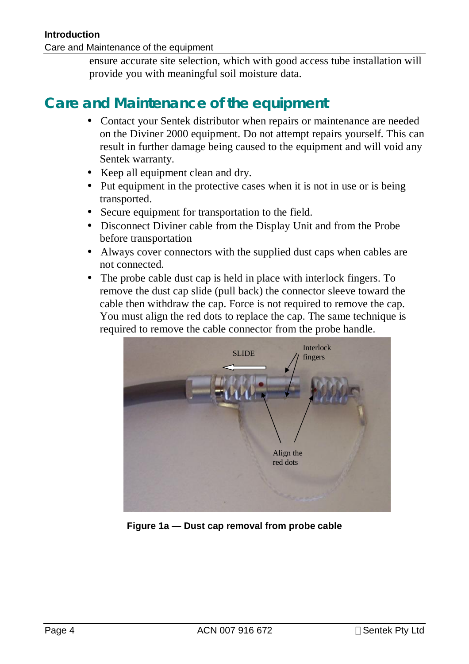#### **Introduction**

Care and Maintenance of the equipment

ensure accurate site selection, which with good access tube installation will provide you with meaningful soil moisture data.

# **Care and Maintenance of the equipment**

- Contact your Sentek distributor when repairs or maintenance are needed on the Diviner 2000 equipment. Do not attempt repairs yourself. This can result in further damage being caused to the equipment and will void any Sentek warranty.
- Keep all equipment clean and dry.
- Put equipment in the protective cases when it is not in use or is being transported.
- Secure equipment for transportation to the field.
- Disconnect Diviner cable from the Display Unit and from the Probe before transportation
- Always cover connectors with the supplied dust caps when cables are not connected.
- The probe cable dust cap is held in place with interlock fingers. To remove the dust cap slide (pull back) the connector sleeve toward the cable then withdraw the cap. Force is not required to remove the cap. You must align the red dots to replace the cap. The same technique is required to remove the cable connector from the probe handle.



**Figure 1a — Dust cap removal from probe cable**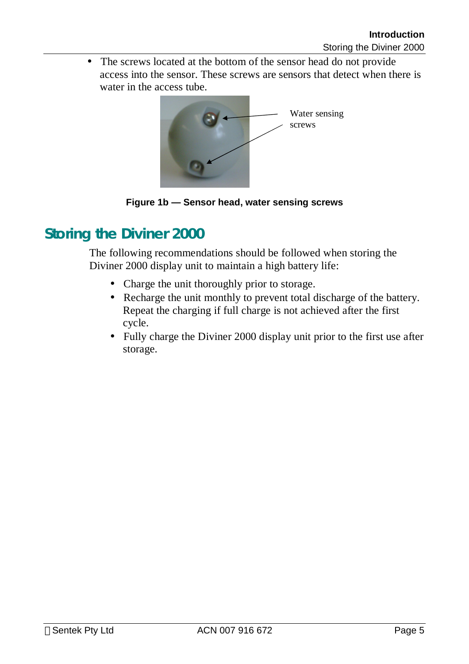• The screws located at the bottom of the sensor head do not provide access into the sensor. These screws are sensors that detect when there is water in the access tube.



**Figure 1b — Sensor head, water sensing screws** 

# **Storing the Diviner 2000**

The following recommendations should be followed when storing the Diviner 2000 display unit to maintain a high battery life:

- Charge the unit thoroughly prior to storage.
- Recharge the unit monthly to prevent total discharge of the battery. Repeat the charging if full charge is not achieved after the first cycle.
- Fully charge the Diviner 2000 display unit prior to the first use after storage.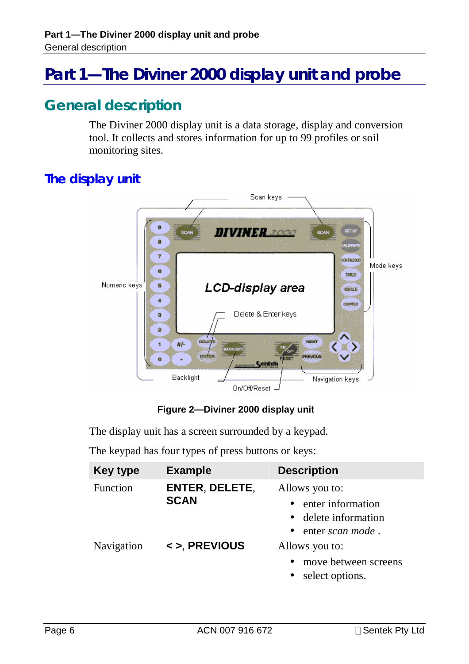# **Part 1—The Diviner 2000 display unit and probe**

# **General description**

The Diviner 2000 display unit is a data storage, display and conversion tool. It collects and stores information for up to 99 profiles or soil monitoring sites.

# **The display unit**



**Figure 2—Diviner 2000 display unit** 

The display unit has a screen surrounded by a keypad.

The keypad has four types of press buttons or keys:

| <b>Key type</b> | <b>Example</b> | <b>Description</b>                |
|-----------------|----------------|-----------------------------------|
| Function        | ENTER, DELETE, | Allows you to:                    |
|                 | <b>SCAN</b>    | • enter information               |
|                 |                | • delete information              |
|                 |                | • enter scan mode.                |
| Navigation      | <> PREVIOUS    | Allows you to:                    |
|                 |                | move between screens<br>$\bullet$ |
|                 |                | select options.                   |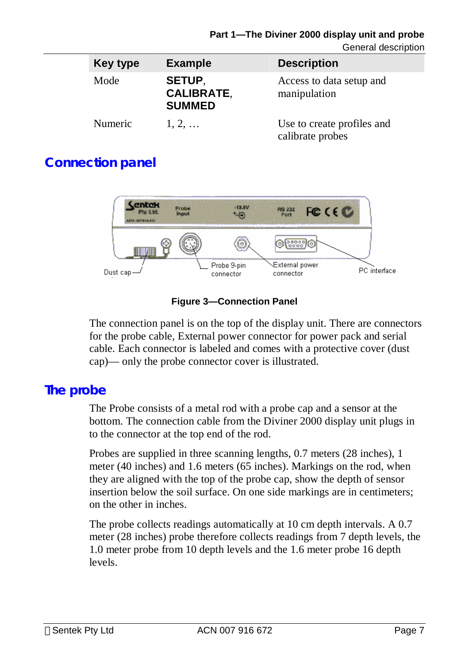#### **Part 1—The Diviner 2000 display unit and probe**

General description

| <b>Key type</b> | <b>Example</b>                                      | <b>Description</b>                             |
|-----------------|-----------------------------------------------------|------------------------------------------------|
| Mode            | <b>SETUP.</b><br><b>CALIBRATE,</b><br><b>SUMMED</b> | Access to data setup and<br>manipulation       |
| Numeric         | $1, 2, \ldots$                                      | Use to create profiles and<br>calibrate probes |

# **Connection panel**



#### **Figure 3—Connection Panel**

The connection panel is on the top of the display unit. There are connectors for the probe cable, External power connector for power pack and serial cable. Each connector is labeled and comes with a protective cover (dust cap)— only the probe connector cover is illustrated.

## **The probe**

The Probe consists of a metal rod with a probe cap and a sensor at the bottom. The connection cable from the Diviner 2000 display unit plugs in to the connector at the top end of the rod.

Probes are supplied in three scanning lengths, 0.7 meters (28 inches), 1 meter (40 inches) and 1.6 meters (65 inches). Markings on the rod, when they are aligned with the top of the probe cap, show the depth of sensor insertion below the soil surface. On one side markings are in centimeters; on the other in inches.

The probe collects readings automatically at 10 cm depth intervals. A 0.7 meter (28 inches) probe therefore collects readings from 7 depth levels, the 1.0 meter probe from 10 depth levels and the 1.6 meter probe 16 depth levels.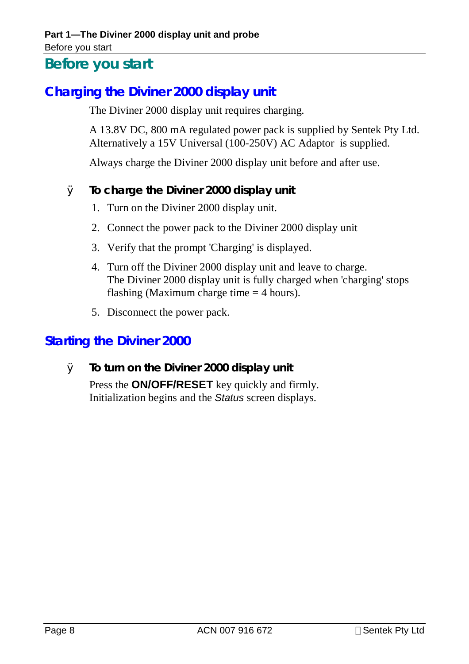## Before you start

# **Before you start**

# **Charging the Diviner 2000 display unit**

The Diviner 2000 display unit requires charging.

A 13.8V DC, 800 mA regulated power pack is supplied by Sentek Pty Ltd. Alternatively a 15V Universal (100-250V) AC Adaptor is supplied.

Always charge the Diviner 2000 display unit before and after use.

#### Ø **To charge the Diviner 2000 display unit**

- 1. Turn on the Diviner 2000 display unit.
- 2. Connect the power pack to the Diviner 2000 display unit
- 3. Verify that the prompt 'Charging' is displayed.
- 4. Turn off the Diviner 2000 display unit and leave to charge. The Diviner 2000 display unit is fully charged when 'charging' stops flashing (Maximum charge time  $=$  4 hours).
- 5. Disconnect the power pack.

## **Starting the Diviner 2000**

Ø **To turn on the Diviner 2000 display unit**  Press the **ON/OFF/RESET** key quickly and firmly. Initialization begins and the *Status* screen displays.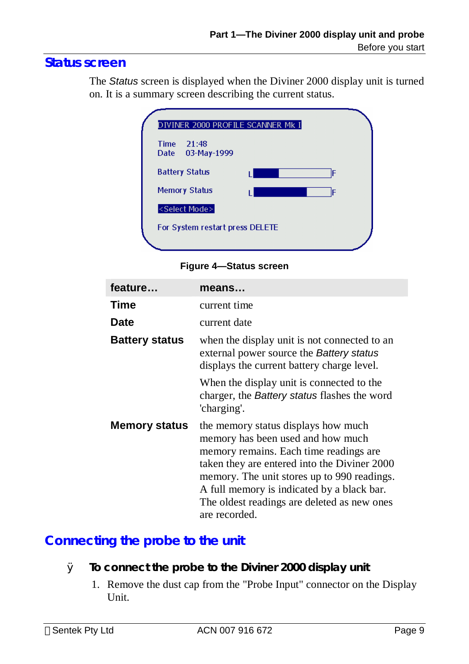# **Status screen**

The *Status* screen is displayed when the Diviner 2000 display unit is turned on. It is a summary screen describing the current status.

|                       | DIVINER 2000 PROFILE SCANNER MK I |   |
|-----------------------|-----------------------------------|---|
| <b>Time</b><br>Date   | 21:48<br>03-May-1999              |   |
| <b>Battery Status</b> |                                   | F |
|                       | <b>Memory Status</b>              | F |
|                       | <select mode=""></select>         |   |
|                       | For System restart press DELETE   |   |
|                       |                                   |   |

**Figure 4—Status screen** 

| feature               | means                                                                                                                                                                                                                                                                                                                           |
|-----------------------|---------------------------------------------------------------------------------------------------------------------------------------------------------------------------------------------------------------------------------------------------------------------------------------------------------------------------------|
| Time                  | current time                                                                                                                                                                                                                                                                                                                    |
| <b>Date</b>           | current date                                                                                                                                                                                                                                                                                                                    |
| <b>Battery status</b> | when the display unit is not connected to an<br>external power source the Battery status<br>displays the current battery charge level.                                                                                                                                                                                          |
|                       | When the display unit is connected to the<br>charger, the <i>Battery</i> status flashes the word<br>'charging'.                                                                                                                                                                                                                 |
| <b>Memory status</b>  | the memory status displays how much<br>memory has been used and how much<br>memory remains. Each time readings are<br>taken they are entered into the Diviner 2000<br>memory. The unit stores up to 990 readings.<br>A full memory is indicated by a black bar.<br>The oldest readings are deleted as new ones<br>are recorded. |

# **Connecting the probe to the unit**

- Ø **To connect the probe to the Diviner 2000 display unit** 
	- 1. Remove the dust cap from the "Probe Input" connector on the Display Unit.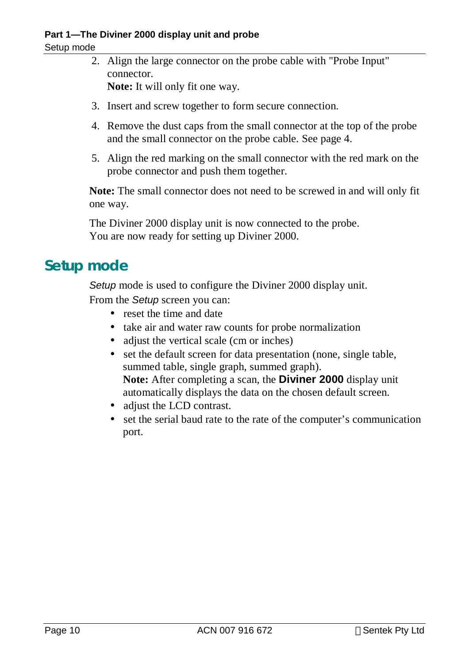#### Setup mode

- 2. Align the large connector on the probe cable with "Probe Input" connector. **Note:** It will only fit one way.
- 3. Insert and screw together to form secure connection.
- 4. Remove the dust caps from the small connector at the top of the probe and the small connector on the probe cable. See page 4.
- 5. Align the red marking on the small connector with the red mark on the probe connector and push them together.

**Note:** The small connector does not need to be screwed in and will only fit one way.

The Diviner 2000 display unit is now connected to the probe. You are now ready for setting up Diviner 2000.

# **Setup mode**

*Setup* mode is used to configure the Diviner 2000 display unit.

From the *Setup* screen you can:

- reset the time and date
- take air and water raw counts for probe normalization
- adjust the vertical scale (cm or inches)
- set the default screen for data presentation (none, single table, summed table, single graph, summed graph). **Note:** After completing a scan, the **Diviner 2000** display unit automatically displays the data on the chosen default screen.
- adjust the LCD contrast.
- set the serial baud rate to the rate of the computer's communication port.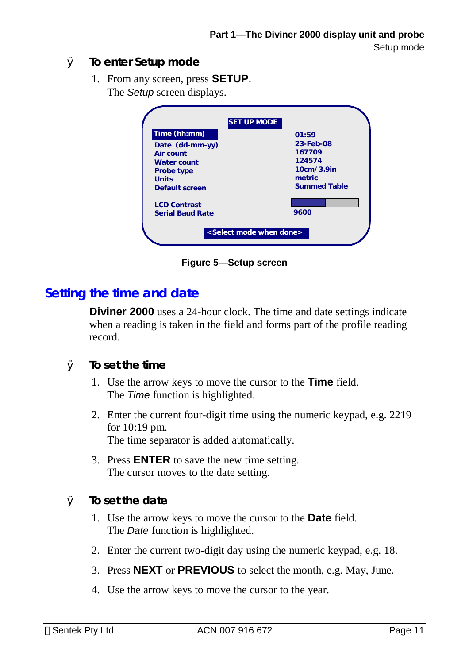## Ø **To enter Setup mode**

1. From any screen, press **SETUP**. The *Setup* screen displays.

| <b>SET UP MODE</b>                                                                                                 |                                                                                       |
|--------------------------------------------------------------------------------------------------------------------|---------------------------------------------------------------------------------------|
| Time (hh:mm)<br>Date (dd-mm-yy)<br>Air count<br><b>Water count</b><br>Probe type<br><b>Units</b><br>Default screen | 01:59<br>23-Feb-08<br>167709<br>124574<br>10cm/3.9in<br>metric<br><b>Summed Table</b> |
| <b>LCD Contrast</b><br><b>Serial Baud Rate</b>                                                                     | 9600                                                                                  |
| <select done="" mode="" when=""></select>                                                                          |                                                                                       |

**Figure 5—Setup screen** 

## **Setting the time and date**

**Diviner 2000** uses a 24-hour clock. The time and date settings indicate when a reading is taken in the field and forms part of the profile reading record.

- Ø **To set the time** 
	- 1. Use the arrow keys to move the cursor to the **Time** field. The *Time* function is highlighted.
	- 2. Enter the current four-digit time using the numeric keypad, e.g. 2219 for 10:19 pm. The time separator is added automatically.
	- 3. Press **ENTER** to save the new time setting. The cursor moves to the date setting.
- Ø **To set the date** 
	- 1. Use the arrow keys to move the cursor to the **Date** field. The *Date* function is highlighted.
	- 2. Enter the current two-digit day using the numeric keypad, e.g. 18.
	- 3. Press **NEXT** or **PREVIOUS** to select the month, e.g. May, June.
	- 4. Use the arrow keys to move the cursor to the year.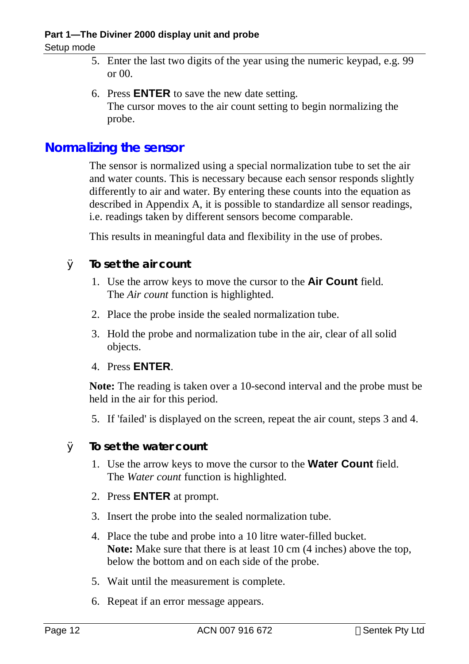#### **Part 1—The Diviner 2000 display unit and probe**

#### Setup mode

- 5. Enter the last two digits of the year using the numeric keypad, e.g. 99 or 00.
- 6. Press **ENTER** to save the new date setting. The cursor moves to the air count setting to begin normalizing the probe.

### **Normalizing the sensor**

The sensor is normalized using a special normalization tube to set the air and water counts. This is necessary because each sensor responds slightly differently to air and water. By entering these counts into the equation as described in Appendix A, it is possible to standardize all sensor readings, i.e. readings taken by different sensors become comparable.

This results in meaningful data and flexibility in the use of probes.

- Ø **To set the air count** 
	- 1. Use the arrow keys to move the cursor to the **Air Count** field. The *Air count* function is highlighted.
	- 2. Place the probe inside the sealed normalization tube.
	- 3. Hold the probe and normalization tube in the air, clear of all solid objects.
	- 4. Press **ENTER**.

**Note:** The reading is taken over a 10-second interval and the probe must be held in the air for this period.

- 5. If 'failed' is displayed on the screen, repeat the air count, steps 3 and 4.
- Ø **To set the water count** 
	- 1. Use the arrow keys to move the cursor to the **Water Count** field. The *Water count* function is highlighted.
	- 2. Press **ENTER** at prompt.
	- 3. Insert the probe into the sealed normalization tube.
	- 4. Place the tube and probe into a 10 litre water-filled bucket. **Note:** Make sure that there is at least 10 cm (4 inches) above the top, below the bottom and on each side of the probe.
	- 5. Wait until the measurement is complete.
	- 6. Repeat if an error message appears.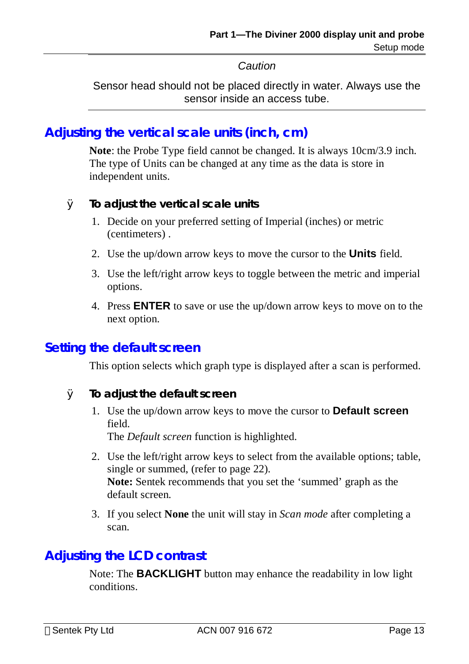*Caution* 

Sensor head should not be placed directly in water. Always use the sensor inside an access tube.

# **Adjusting the vertical scale units (inch, cm)**

**Note**: the Probe Type field cannot be changed. It is always 10cm/3.9 inch. The type of Units can be changed at any time as the data is store in independent units.

#### Ø **To adjust the vertical scale units**

- 1. Decide on your preferred setting of Imperial (inches) or metric (centimeters) .
- 2. Use the up/down arrow keys to move the cursor to the **Units** field.
- 3. Use the left/right arrow keys to toggle between the metric and imperial options.
- 4. Press **ENTER** to save or use the up/down arrow keys to move on to the next option.

#### **Setting the default screen**

This option selects which graph type is displayed after a scan is performed.

- Ø **To adjust the default screen** 
	- 1. Use the up/down arrow keys to move the cursor to **Default screen**  field.

The *Default screen* function is highlighted.

- 2. Use the left/right arrow keys to select from the available options; table, single or summed, (refer to page 22). **Note:** Sentek recommends that you set the 'summed' graph as the default screen.
- 3. If you select **None** the unit will stay in *Scan mode* after completing a scan.

# **Adjusting the LCD contrast**

Note: The **BACKLIGHT** button may enhance the readability in low light conditions.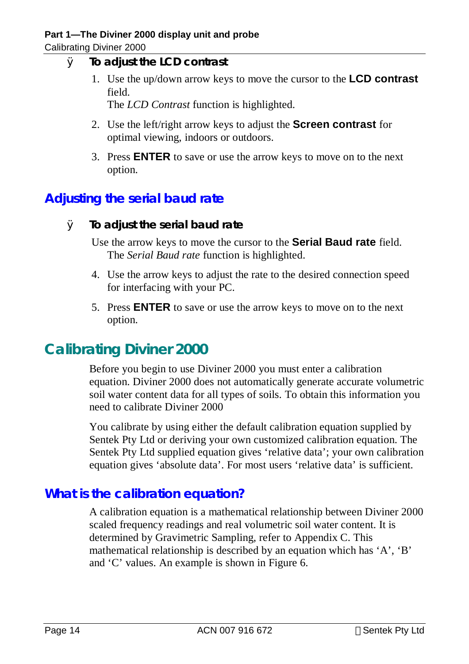- Ø **To adjust the LCD contrast** 
	- 1. Use the up/down arrow keys to move the cursor to the **LCD contrast**  field.

The *LCD Contrast* function is highlighted.

- 2. Use the left/right arrow keys to adjust the **Screen contrast** for optimal viewing, indoors or outdoors.
- 3. Press **ENTER** to save or use the arrow keys to move on to the next option.

# **Adjusting the serial baud rate**

Ø **To adjust the serial baud rate** 

Use the arrow keys to move the cursor to the **Serial Baud rate** field. The *Serial Baud rate* function is highlighted.

- 4. Use the arrow keys to adjust the rate to the desired connection speed for interfacing with your PC.
- 5. Press **ENTER** to save or use the arrow keys to move on to the next option.

# **Calibrating Diviner 2000**

Before you begin to use Diviner 2000 you must enter a calibration equation. Diviner 2000 does not automatically generate accurate volumetric soil water content data for all types of soils. To obtain this information you need to calibrate Diviner 2000

You calibrate by using either the default calibration equation supplied by Sentek Pty Ltd or deriving your own customized calibration equation. The Sentek Pty Ltd supplied equation gives 'relative data'; your own calibration equation gives 'absolute data'. For most users 'relative data' is sufficient.

# **What is the calibration equation?**

A calibration equation is a mathematical relationship between Diviner 2000 scaled frequency readings and real volumetric soil water content. It is determined by Gravimetric Sampling, refer to Appendix C. This mathematical relationship is described by an equation which has 'A', 'B' and 'C' values. An example is shown in Figure 6.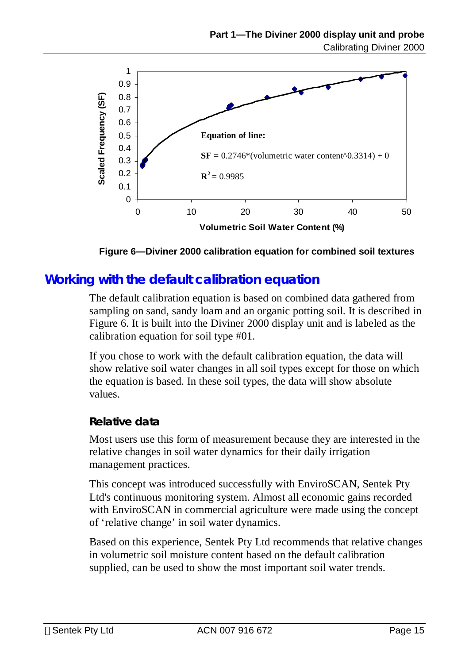

**Figure 6—Diviner 2000 calibration equation for combined soil textures** 

### **Working with the default calibration equation**

The default calibration equation is based on combined data gathered from sampling on sand, sandy loam and an organic potting soil. It is described in Figure 6. It is built into the Diviner 2000 display unit and is labeled as the calibration equation for soil type #01.

If you chose to work with the default calibration equation, the data will show relative soil water changes in all soil types except for those on which the equation is based. In these soil types, the data will show absolute values.

#### **Relative data**

Most users use this form of measurement because they are interested in the relative changes in soil water dynamics for their daily irrigation management practices.

This concept was introduced successfully with EnviroSCAN, Sentek Pty Ltd's continuous monitoring system. Almost all economic gains recorded with EnviroSCAN in commercial agriculture were made using the concept of 'relative change' in soil water dynamics.

Based on this experience, Sentek Pty Ltd recommends that relative changes in volumetric soil moisture content based on the default calibration supplied, can be used to show the most important soil water trends.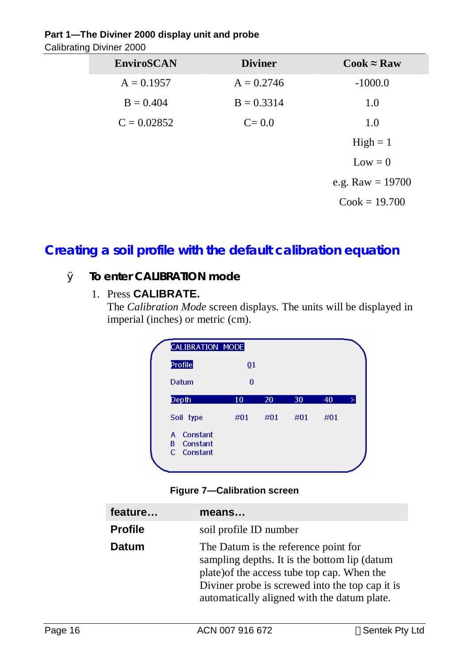### **Part 1—The Diviner 2000 display unit and probe**

Calibrating Diviner 2000

| ັ |                   |                |                                      |
|---|-------------------|----------------|--------------------------------------|
|   | <b>EnviroSCAN</b> | <b>Diviner</b> | $\mathbf{Cook} \approx \mathbf{Raw}$ |
|   | $A = 0.1957$      | $A = 0.2746$   | $-1000.0$                            |
|   | $B = 0.404$       | $B = 0.3314$   | 1.0                                  |
|   | $C = 0.02852$     | $C = 0.0$      | 1.0                                  |
|   |                   |                | $High = 1$                           |
|   |                   |                | $Low = 0$                            |
|   |                   |                | e.g. Raw $= 19700$                   |
|   |                   |                | $Cook = 19.700$                      |
|   |                   |                |                                      |

# **Creating a soil profile with the default calibration equation**

### Ø **To enter CALIBRATION mode**

1. Press **CALIBRATE.** 

The *Calibration Mode* screen displays. The units will be displayed in imperial (inches) or metric (cm).

| <b>CALIBRATION MODE</b>                                      |                 |     |     |     |   |
|--------------------------------------------------------------|-----------------|-----|-----|-----|---|
| Profile                                                      | $\overline{0}1$ |     |     |     |   |
| Datum                                                        | 0               |     |     |     |   |
| Depth                                                        | 10              | 20  | 30  | 40  | × |
| Soil type                                                    | #01             | #01 | #01 | #01 |   |
| Constant<br>A.<br>B.<br>Constant<br>$\mathbf{C}$<br>Constant |                 |     |     |     |   |
|                                                              |                 |     |     |     |   |

#### **Figure 7—Calibration screen**

| feature        | means                                                                                                                                                                                                                                 |
|----------------|---------------------------------------------------------------------------------------------------------------------------------------------------------------------------------------------------------------------------------------|
| <b>Profile</b> | soil profile ID number                                                                                                                                                                                                                |
| <b>Datum</b>   | The Datum is the reference point for<br>sampling depths. It is the bottom lip (datum<br>plate) of the access tube top cap. When the<br>Diviner probe is screwed into the top cap it is<br>automatically aligned with the datum plate. |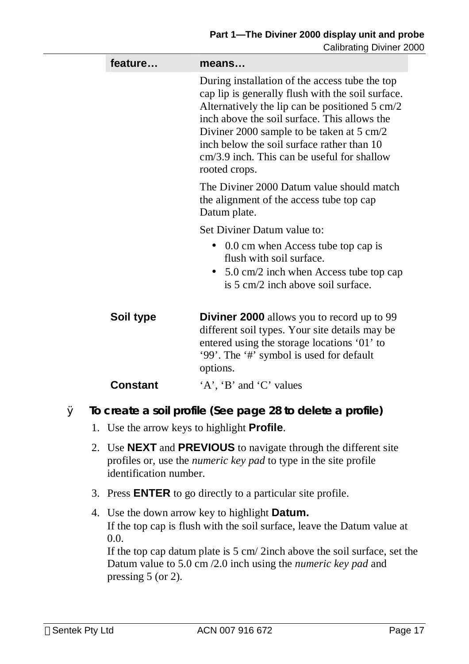| feature         | means                                                                                                                                                                                                                                                                                                                                                                        |  |  |
|-----------------|------------------------------------------------------------------------------------------------------------------------------------------------------------------------------------------------------------------------------------------------------------------------------------------------------------------------------------------------------------------------------|--|--|
|                 | During installation of the access tube the top<br>cap lip is generally flush with the soil surface.<br>Alternatively the lip can be positioned 5 cm/2<br>inch above the soil surface. This allows the<br>Diviner 2000 sample to be taken at $5 \text{ cm}/2$<br>inch below the soil surface rather than 10<br>$cm/3.9$ inch. This can be useful for shallow<br>rooted crops. |  |  |
|                 | The Diviner 2000 Datum value should match<br>the alignment of the access tube top cap<br>Datum plate.                                                                                                                                                                                                                                                                        |  |  |
|                 | Set Diviner Datum value to:                                                                                                                                                                                                                                                                                                                                                  |  |  |
|                 | 0.0 cm when Access tube top cap is<br>$\bullet$<br>flush with soil surface.                                                                                                                                                                                                                                                                                                  |  |  |
|                 | • $5.0 \text{ cm}/2$ inch when Access tube top cap<br>is 5 cm/2 inch above soil surface.                                                                                                                                                                                                                                                                                     |  |  |
| Soil type       | <b>Diviner 2000</b> allows you to record up to 99<br>different soil types. Your site details may be<br>entered using the storage locations '01' to<br>'99'. The '#' symbol is used for default<br>options.                                                                                                                                                                   |  |  |
| <b>Constant</b> | 'A', 'B' and 'C' values                                                                                                                                                                                                                                                                                                                                                      |  |  |

- Ø **To create a soil profile (See page 28 to delete a profile)** 
	- 1. Use the arrow keys to highlight **Profile**.
	- 2. Use **NEXT** and **PREVIOUS** to navigate through the different site profiles or, use the *numeric key pad* to type in the site profile identification number.
	- 3. Press **ENTER** to go directly to a particular site profile.
	- 4. Use the down arrow key to highlight **Datum.**  If the top cap is flush with the soil surface, leave the Datum value at 0.0. If the top cap datum plate is 5 cm/ 2inch above the soil surface, set the

Datum value to 5.0 cm /2.0 inch using the *numeric key pad* and pressing 5 (or 2).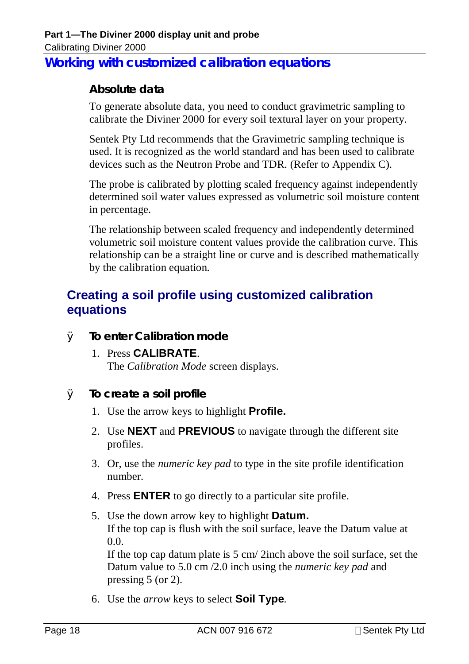# **Working with customized calibration equations**

### **Absolute data**

To generate absolute data, you need to conduct gravimetric sampling to calibrate the Diviner 2000 for every soil textural layer on your property.

Sentek Pty Ltd recommends that the Gravimetric sampling technique is used. It is recognized as the world standard and has been used to calibrate devices such as the Neutron Probe and TDR. (Refer to Appendix C).

The probe is calibrated by plotting scaled frequency against independently determined soil water values expressed as volumetric soil moisture content in percentage.

The relationship between scaled frequency and independently determined volumetric soil moisture content values provide the calibration curve. This relationship can be a straight line or curve and is described mathematically by the calibration equation.

# **Creating a soil profile using customized calibration equations**

- Ø **To enter Calibration mode** 
	- 1. Press **CALIBRATE**. The *Calibration Mode* screen displays.
- Ø **To create a soil profile** 
	- 1. Use the arrow keys to highlight **Profile.**
	- 2. Use **NEXT** and **PREVIOUS** to navigate through the different site profiles.
	- 3. Or, use the *numeric key pad* to type in the site profile identification number.
	- 4. Press **ENTER** to go directly to a particular site profile.
	- 5. Use the down arrow key to highlight **Datum.**  If the top cap is flush with the soil surface, leave the Datum value at 0.0. If the top cap datum plate is 5 cm/ 2inch above the soil surface, set the Datum value to 5.0 cm /2.0 inch using the *numeric key pad* and pressing 5 (or 2).
	- 6. Use the *arrow* keys to select **Soil Type***.*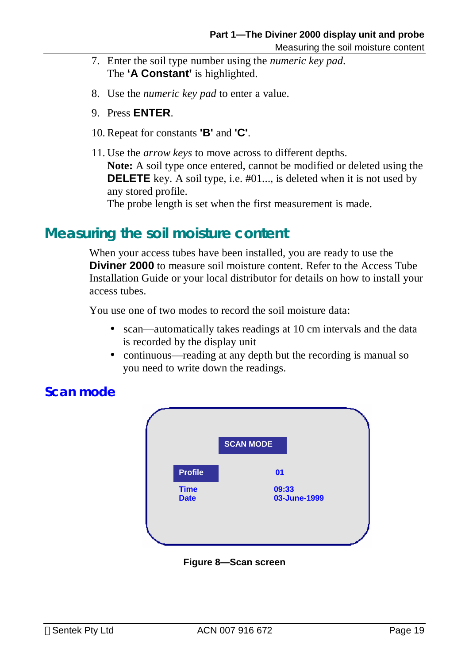- 7. Enter the soil type number using the *numeric key pad*. The **'A Constant'** is highlighted.
- 8. Use the *numeric key pad* to enter a value.
- 9. Press **ENTER**.
- 10. Repeat for constants **'B'** and **'C'**.
- 11. Use the *arrow keys* to move across to different depths. **Note:** A soil type once entered, cannot be modified or deleted using the **DELETE** key. A soil type, i.e. #01..., is deleted when it is not used by any stored profile.

The probe length is set when the first measurement is made.

# **Measuring the soil moisture content**

When your access tubes have been installed, you are ready to use the **Diviner 2000** to measure soil moisture content. Refer to the Access Tube Installation Guide or your local distributor for details on how to install your access tubes.

You use one of two modes to record the soil moisture data:

- scan—automatically takes readings at 10 cm intervals and the data is recorded by the display unit
- continuous—reading at any depth but the recording is manual so you need to write down the readings.



#### **Figure 8—Scan screen**

# **Scan mode**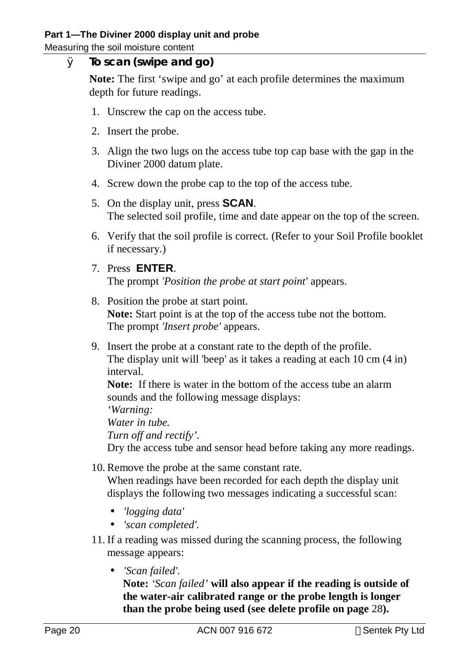Measuring the soil moisture content

#### Ø **To scan (swipe and go)**

**Note:** The first 'swipe and go' at each profile determines the maximum depth for future readings.

- 1. Unscrew the cap on the access tube.
- 2. Insert the probe.
- 3. Align the two lugs on the access tube top cap base with the gap in the Diviner 2000 datum plate.
- 4. Screw down the probe cap to the top of the access tube.
- 5. On the display unit, press **SCAN**. The selected soil profile, time and date appear on the top of the screen.
- 6. Verify that the soil profile is correct. (Refer to your Soil Profile booklet if necessary.)
- 7. Press **ENTER**. The prompt *'Position the probe at start point'* appears.
- 8. Position the probe at start point. **Note:** Start point is at the top of the access tube not the bottom. The prompt *'Insert probe'* appears.
- 9. Insert the probe at a constant rate to the depth of the profile. The display unit will 'beep' as it takes a reading at each 10 cm (4 in) interval.

**Note:** If there is water in the bottom of the access tube an alarm sounds and the following message displays:

*'Warning:* 

*Water in tube.* 

*Turn off and rectify'.* 

Dry the access tube and sensor head before taking any more readings.

- 10. Remove the probe at the same constant rate. When readings have been recorded for each depth the display unit displays the following two messages indicating a successful scan:
	- *'logging data'*
	- *'scan completed'.*
- 11. If a reading was missed during the scanning process, the following message appears:
	- *'Scan failed'.*

**Note:** *'Scan failed'* **will also appear if the reading is outside of the water-air calibrated range or the probe length is longer than the probe being used (see delete profile on page** 28**).**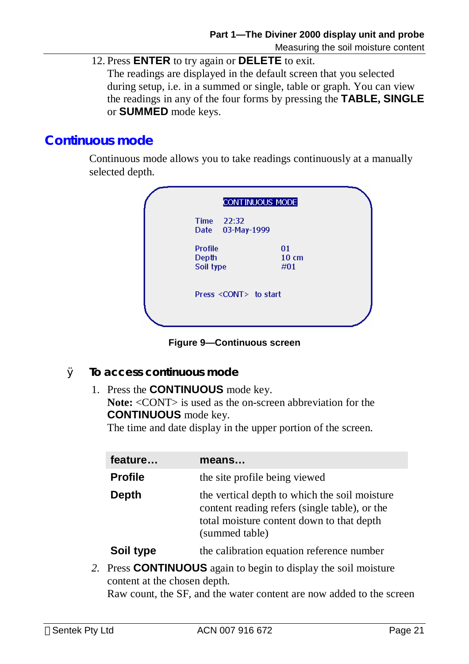12. Press **ENTER** to try again or **DELETE** to exit.

The readings are displayed in the default screen that you selected during setup, i.e. in a summed or single, table or graph. You can view the readings in any of the four forms by pressing the **TABLE, SINGLE** or **SUMMED** mode keys.

# **Continuous mode**

Continuous mode allows you to take readings continuously at a manually selected depth.

|                                      | CONTINUOUS MODE              |                              |  |
|--------------------------------------|------------------------------|------------------------------|--|
| Time 22:32                           | Date 03-May-1999             |                              |  |
| <b>Profile</b><br>Depth<br>Soil type |                              | 01<br>$10 \text{ cm}$<br>#01 |  |
|                                      | Press <cont> to start</cont> |                              |  |
|                                      |                              |                              |  |

**Figure 9—Continuous screen** 

- Ø **To access continuous mode** 
	- 1. Press the **CONTINUOUS** mode key.

Note: <CONT> is used as the on-screen abbreviation for the **CONTINUOUS** mode key.

The time and date display in the upper portion of the screen.

| feature        | means                                                                                                                                                         |
|----------------|---------------------------------------------------------------------------------------------------------------------------------------------------------------|
| <b>Profile</b> | the site profile being viewed                                                                                                                                 |
| <b>Depth</b>   | the vertical depth to which the soil moisture<br>content reading refers (single table), or the<br>total moisture content down to that depth<br>(summed table) |
| Soil type      | the calibration equation reference number                                                                                                                     |

*2.* Press **CONTINUOUS** again to begin to display the soil moisture content at the chosen depth.

Raw count, the SF, and the water content are now added to the screen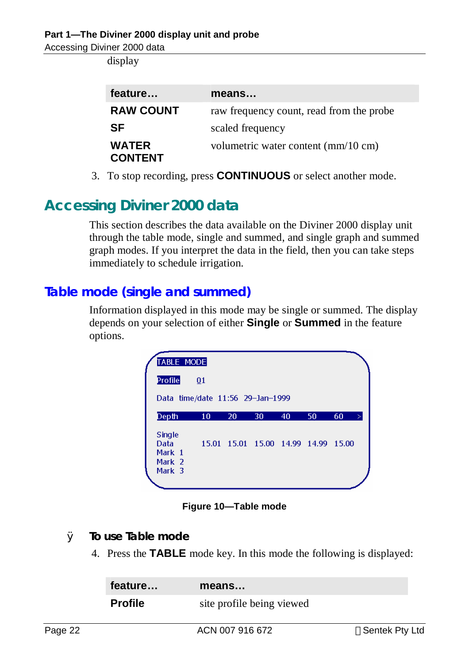display

| feature                        | means                                    |
|--------------------------------|------------------------------------------|
| <b>RAW COUNT</b>               | raw frequency count, read from the probe |
| <b>SF</b>                      | scaled frequency                         |
| <b>WATER</b><br><b>CONTENT</b> | volumetric water content (mm/10 cm)      |

3. To stop recording, press **CONTINUOUS** or select another mode.

# **Accessing Diviner 2000 data**

This section describes the data available on the Diviner 2000 display unit through the table mode, single and summed, and single graph and summed graph modes. If you interpret the data in the field, then you can take steps immediately to schedule irrigation.

# **Table mode (single and summed)**

Information displayed in this mode may be single or summed. The display depends on your selection of either **Single** or **Summed** in the feature options.

| <b>TABLE MODE</b>                         |                 |    |                                     |    |    |    |
|-------------------------------------------|-----------------|----|-------------------------------------|----|----|----|
| <b>Profile</b>                            | $\overline{01}$ |    |                                     |    |    |    |
| Data time/date 11:56 29-Jan-1999          |                 |    |                                     |    |    |    |
| Depth                                     | 10              | 20 | 30                                  | 40 | 50 | 60 |
| <b>Single</b><br>Data<br>Mark 1<br>Mark 2 |                 |    | 15.01 15.01 15.00 14.99 14.99 15.00 |    |    |    |

**Figure 10—Table mode** 

- Ø **To use Table mode** 
	- 4. Press the **TABLE** mode key. In this mode the following is displayed:

| feature        | means                     |  |
|----------------|---------------------------|--|
| <b>Profile</b> | site profile being viewed |  |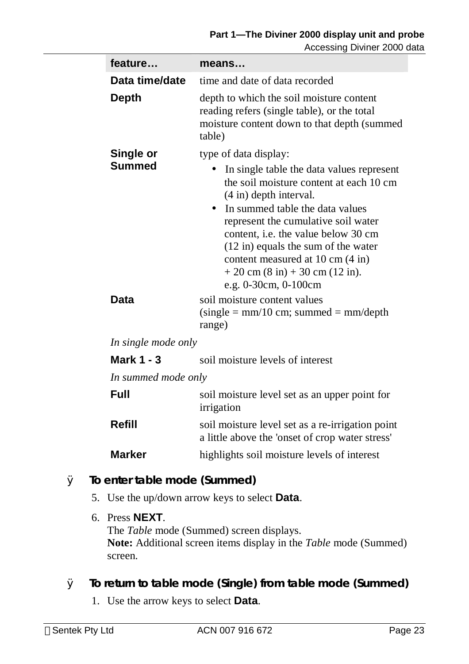| feature             | means                                                                                                                                                                                                                                                                                                                                                                                                                 |
|---------------------|-----------------------------------------------------------------------------------------------------------------------------------------------------------------------------------------------------------------------------------------------------------------------------------------------------------------------------------------------------------------------------------------------------------------------|
| Data time/date      | time and date of data recorded                                                                                                                                                                                                                                                                                                                                                                                        |
| <b>Depth</b>        | depth to which the soil moisture content<br>reading refers (single table), or the total<br>moisture content down to that depth (summed<br>table)                                                                                                                                                                                                                                                                      |
| Single or           | type of data display:                                                                                                                                                                                                                                                                                                                                                                                                 |
| <b>Summed</b>       | In single table the data values represent<br>the soil moisture content at each 10 cm<br>$(4 \text{ in})$ depth interval.<br>In summed table the data values<br>represent the cumulative soil water<br>content, <i>i.e.</i> the value below 30 cm<br>$(12 \text{ in})$ equals the sum of the water<br>content measured at 10 cm (4 in)<br>$+20$ cm $(8 \text{ in}) + 30$ cm $(12 \text{ in}).$<br>e.g. 0-30cm, 0-100cm |
| <b>Data</b>         | soil moisture content values<br>$(single = mm/10 cm; summed = mm/depth)$<br>range)                                                                                                                                                                                                                                                                                                                                    |
| In single mode only |                                                                                                                                                                                                                                                                                                                                                                                                                       |
| <b>Mark 1 - 3</b>   | soil moisture levels of interest                                                                                                                                                                                                                                                                                                                                                                                      |
| In summed mode only |                                                                                                                                                                                                                                                                                                                                                                                                                       |
| <b>Full</b>         | soil moisture level set as an upper point for<br>irrigation                                                                                                                                                                                                                                                                                                                                                           |
| <b>Refill</b>       | soil moisture level set as a re-irrigation point<br>a little above the 'onset of crop water stress'                                                                                                                                                                                                                                                                                                                   |

**Marker highlights soil moisture levels of interest** 

- Ø **To enter table mode (Summed)** 
	- 5. Use the up/down arrow keys to select **Data**.
	- 6. Press **NEXT**. The *Table* mode (Summed) screen displays. **Note:** Additional screen items display in the *Table* mode (Summed) screen.
- Ø **To return to table mode (Single) from table mode (Summed)** 
	- 1. Use the arrow keys to select **Data**.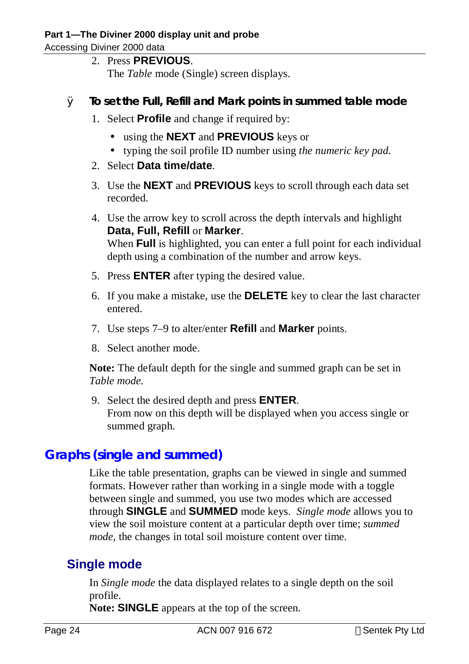2. Press **PREVIOUS**.

The *Table* mode (Single) screen displays.

- Ø **To set the Full, Refill and Mark points in summed table mode** 
	- 1. Select **Profile** and change if required by:
		- using the **NEXT** and **PREVIOUS** keys or
		- typing the soil profile ID number using *the numeric key pad.*
	- 2. Select **Data time/date**.
	- 3. Use the **NEXT** and **PREVIOUS** keys to scroll through each data set recorded.
	- 4. Use the arrow key to scroll across the depth intervals and highlight **Data, Full, Refill** or **Marker**. When **Full** is highlighted, you can enter a full point for each individual depth using a combination of the number and arrow keys.
	- 5. Press **ENTER** after typing the desired value.
	- 6. If you make a mistake, use the **DELETE** key to clear the last character entered.
	- 7. Use steps 7–9 to alter/enter **Refill** and **Marker** points.
	- 8. Select another mode.

**Note:** The default depth for the single and summed graph can be set in *Table mode.*

9. Select the desired depth and press **ENTER**. From now on this depth will be displayed when you access single or summed graph.

# **Graphs (single and summed)**

Like the table presentation, graphs can be viewed in single and summed formats. However rather than working in a single mode with a toggle between single and summed, you use two modes which are accessed through **SINGLE** and **SUMMED** mode keys. *Single mode* allows you to view the soil moisture content at a particular depth over time; *summed mode,* the changes in total soil moisture content over time.

# **Single mode**

In *Single mode* the data displayed relates to a single depth on the soil profile.

**Note: SINGLE** appears at the top of the screen.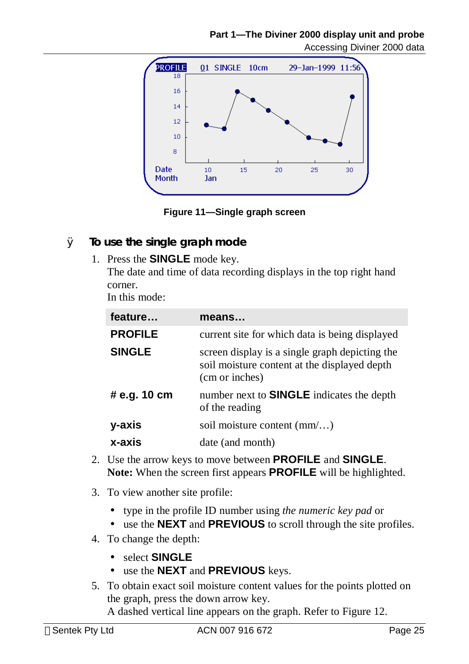

**Figure 11—Single graph screen** 

- Ø **To use the single graph mode** 
	- 1. Press the **SINGLE** mode key. The date and time of data recording displays in the top right hand corner. In this mode:

| feature        | means                                                                                                            |
|----------------|------------------------------------------------------------------------------------------------------------------|
| <b>PROFILE</b> | current site for which data is being displayed                                                                   |
| <b>SINGLE</b>  | screen display is a single graph depicting the<br>soil moisture content at the displayed depth<br>(cm or inches) |
| # e.g. 10 cm   | number next to <b>SINGLE</b> indicates the depth<br>of the reading                                               |
| y-axis         | soil moisture content $(mm)$                                                                                     |
| x-axis         | date (and month)                                                                                                 |

- 2. Use the arrow keys to move between **PROFILE** and **SINGLE**. **Note:** When the screen first appears **PROFILE** will be highlighted.
- 3. To view another site profile:
	- type in the profile ID number using *the numeric key pad* or
	- use the **NEXT** and **PREVIOUS** to scroll through the site profiles.
- 4. To change the depth:
	- select **SINGLE**
	- use the **NEXT** and **PREVIOUS** keys.
- 5. To obtain exact soil moisture content values for the points plotted on the graph, press the down arrow key. A dashed vertical line appears on the graph. Refer to Figure 12.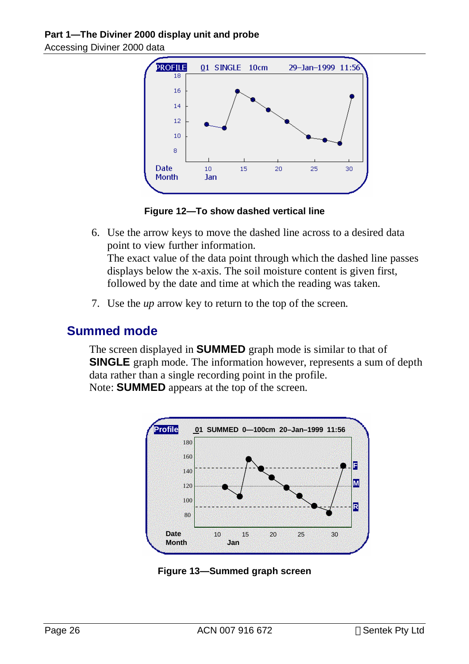

**Figure 12—To show dashed vertical line** 

6. Use the arrow keys to move the dashed line across to a desired data point to view further information. The exact value of the data point through which the dashed line passes displays below the x-axis. The soil moisture content is given first,

followed by the date and time at which the reading was taken.

7. Use the *up* arrow key to return to the top of the screen.

## **Summed mode**

The screen displayed in **SUMMED** graph mode is similar to that of **SINGLE** graph mode. The information however, represents a sum of depth data rather than a single recording point in the profile. Note: **SUMMED** appears at the top of the screen.



**Figure 13—Summed graph screen**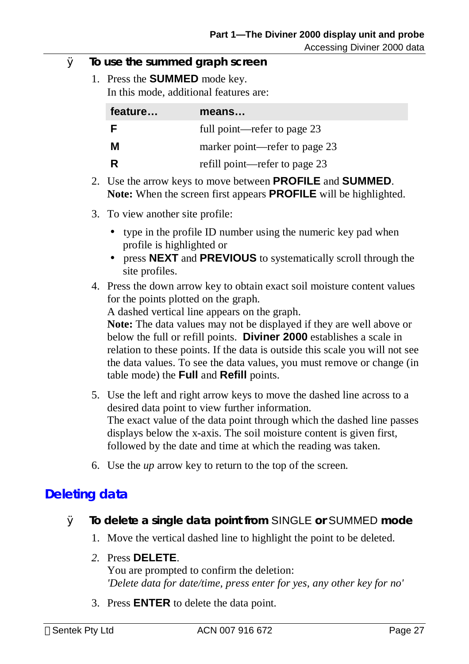- Ø **To use the summed graph screen** 
	- 1. Press the **SUMMED** mode key. In this mode, additional features are:

| feature | means                         |
|---------|-------------------------------|
| F       | full point—refer to page 23   |
| М       | marker point—refer to page 23 |
| R       | refill point—refer to page 23 |

- 2. Use the arrow keys to move between **PROFILE** and **SUMMED**. **Note:** When the screen first appears **PROFILE** will be highlighted.
- 3. To view another site profile:
	- type in the profile ID number using the numeric key pad when profile is highlighted or
	- press **NEXT** and **PREVIOUS** to systematically scroll through the site profiles.
- 4. Press the down arrow key to obtain exact soil moisture content values for the points plotted on the graph.

A dashed vertical line appears on the graph.

**Note:** The data values may not be displayed if they are well above or below the full or refill points. **Diviner 2000** establishes a scale in relation to these points. If the data is outside this scale you will not see the data values. To see the data values, you must remove or change (in table mode) the **Full** and **Refill** points.

- 5. Use the left and right arrow keys to move the dashed line across to a desired data point to view further information. The exact value of the data point through which the dashed line passes displays below the x-axis. The soil moisture content is given first, followed by the date and time at which the reading was taken.
- 6. Use the *up* arrow key to return to the top of the screen.

## **Deleting data**

- Ø **To delete a single data point from** SINGLE **or** SUMMED **mode** 
	- 1. Move the vertical dashed line to highlight the point to be deleted.
	- *2.* Press **DELETE**.

You are prompted to confirm the deletion: *'Delete data for date/time, press enter for yes, any other key for no'* 

3. Press **ENTER** to delete the data point.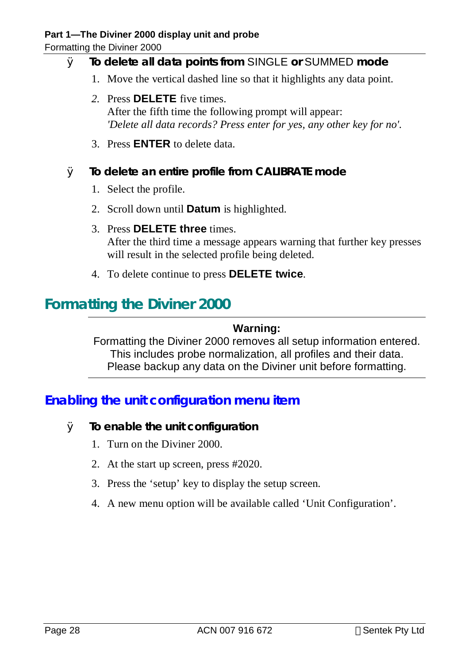Formatting the Diviner 2000

# Ø **To delete all data points from** SINGLE **or** SUMMED **mode**

- 1. Move the vertical dashed line so that it highlights any data point.
- *2.* Press **DELETE** five times. After the fifth time the following prompt will appear: *'Delete all data records? Press enter for yes, any other key for no'.*
- 3. Press **ENTER** to delete data.

#### Ø **To delete an entire profile from** *CALIBRATE* **mode**

- 1. Select the profile.
- 2. Scroll down until **Datum** is highlighted.
- 3. Press **DELETE three** times. After the third time a message appears warning that further key presses will result in the selected profile being deleted.
- 4. To delete continue to press **DELETE twice**.

# **Formatting the Diviner 2000**

#### **Warning:**

Formatting the Diviner 2000 removes all setup information entered. This includes probe normalization, all profiles and their data. Please backup any data on the Diviner unit before formatting.

# **Enabling the unit configuration menu item**

- Ø **To enable the unit configuration** 
	- 1. Turn on the Diviner 2000.
	- 2. At the start up screen, press #2020.
	- 3. Press the 'setup' key to display the setup screen.
	- 4. A new menu option will be available called 'Unit Configuration'.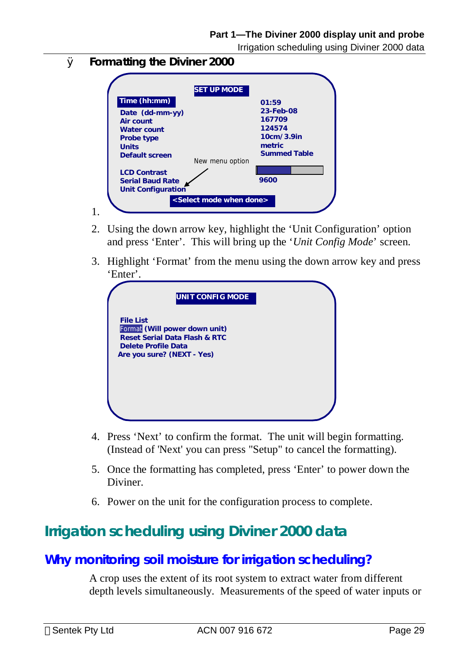Irrigation scheduling using Diviner 2000 data

Ø **Formatting the Diviner 2000** 

| Time (hh:mm)                                                                | 01:59                                                                        |
|-----------------------------------------------------------------------------|------------------------------------------------------------------------------|
| Date (dd-mm-yy)<br>Air count<br>Water count<br>Probe type<br>Units          | 23-Feb-08<br>167709<br>124574<br>10cm/3.9in<br>metric<br><b>Summed Table</b> |
| Default screen                                                              | New menu option                                                              |
| <b>LCD Contrast</b><br><b>Serial Baud Rate</b><br><b>Unit Configuration</b> | 9600                                                                         |

- 2. Using the down arrow key, highlight the 'Unit Configuration' option and press 'Enter'. This will bring up the '*Unit Config Mode*' screen.
- 3. Highlight 'Format' from the menu using the down arrow key and press 'Enter'.

| UNIT CONFIG MODE                                                                                                                                   |  |
|----------------------------------------------------------------------------------------------------------------------------------------------------|--|
| <b>File List</b><br>Format (Will power down unit)<br><b>Reset Serial Data Flash &amp; RTC</b><br>Delete Profile Data<br>Are you sure? (NEXT - Yes) |  |
|                                                                                                                                                    |  |

- 4. Press 'Next' to confirm the format. The unit will begin formatting. (Instead of 'Next' you can press "Setup" to cancel the formatting).
- 5. Once the formatting has completed, press 'Enter' to power down the **Diviner**
- 6. Power on the unit for the configuration process to complete.

# **Irrigation scheduling using Diviner 2000 data**

## **Why monitoring soil moisture for irrigation scheduling?**

A crop uses the extent of its root system to extract water from different depth levels simultaneously. Measurements of the speed of water inputs or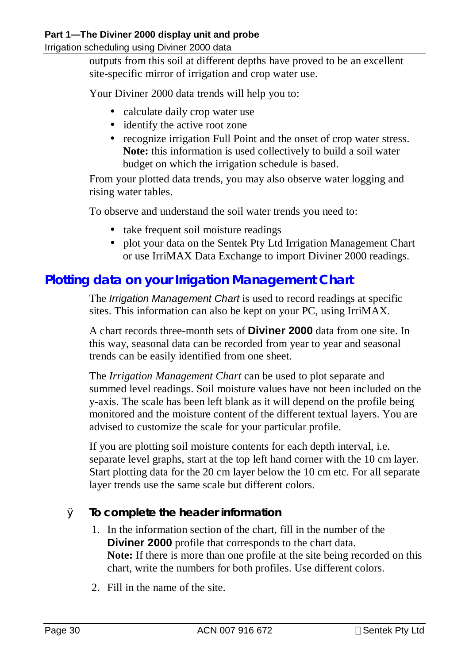#### **Part 1—The Diviner 2000 display unit and probe**

Irrigation scheduling using Diviner 2000 data

outputs from this soil at different depths have proved to be an excellent site-specific mirror of irrigation and crop water use.

Your Diviner 2000 data trends will help you to:

- calculate daily crop water use
- identify the active root zone
- recognize irrigation Full Point and the onset of crop water stress. **Note:** this information is used collectively to build a soil water budget on which the irrigation schedule is based.

From your plotted data trends, you may also observe water logging and rising water tables.

To observe and understand the soil water trends you need to:

- take frequent soil moisture readings
- plot your data on the Sentek Pty Ltd Irrigation Management Chart or use IrriMAX Data Exchange to import Diviner 2000 readings.

## **Plotting data on your Irrigation Management Chart**

The *Irrigation Management Chart* is used to record readings at specific sites. This information can also be kept on your PC, using IrriMAX.

A chart records three-month sets of **Diviner 2000** data from one site. In this way, seasonal data can be recorded from year to year and seasonal trends can be easily identified from one sheet.

The *Irrigation Management Chart* can be used to plot separate and summed level readings. Soil moisture values have not been included on the y-axis. The scale has been left blank as it will depend on the profile being monitored and the moisture content of the different textual layers. You are advised to customize the scale for your particular profile.

If you are plotting soil moisture contents for each depth interval, i.e. separate level graphs, start at the top left hand corner with the 10 cm layer. Start plotting data for the 20 cm layer below the 10 cm etc. For all separate layer trends use the same scale but different colors.

#### Ø **To complete the header information**

- 1. In the information section of the chart, fill in the number of the **Diviner 2000** profile that corresponds to the chart data. **Note:** If there is more than one profile at the site being recorded on this chart, write the numbers for both profiles. Use different colors.
- 2. Fill in the name of the site.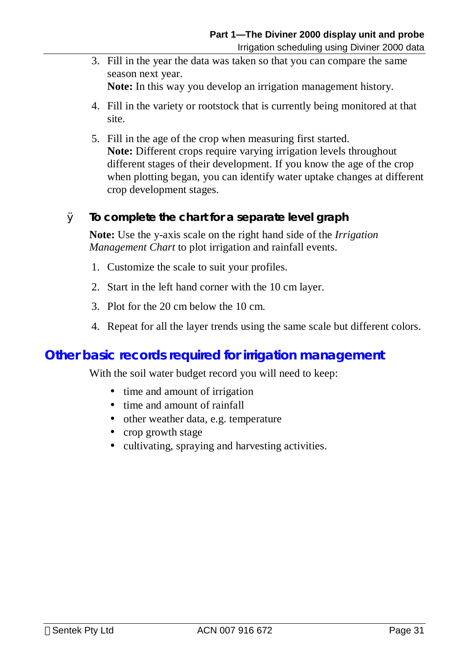3. Fill in the year the data was taken so that you can compare the same season next year.

**Note:** In this way you develop an irrigation management history.

- 4. Fill in the variety or rootstock that is currently being monitored at that site.
- 5. Fill in the age of the crop when measuring first started. **Note:** Different crops require varying irrigation levels throughout different stages of their development. If you know the age of the crop when plotting began, you can identify water uptake changes at different crop development stages.

#### Ø **To complete the chart for a separate level graph**

**Note:** Use the y-axis scale on the right hand side of the *Irrigation Management Chart* to plot irrigation and rainfall events.

- 1. Customize the scale to suit your profiles.
- 2. Start in the left hand corner with the 10 cm layer.
- 3. Plot for the 20 cm below the 10 cm.
- 4. Repeat for all the layer trends using the same scale but different colors.

### **Other basic records required for irrigation management**

With the soil water budget record you will need to keep:

- time and amount of irrigation
- time and amount of rainfall
- other weather data, e.g. temperature
- crop growth stage
- cultivating, spraying and harvesting activities.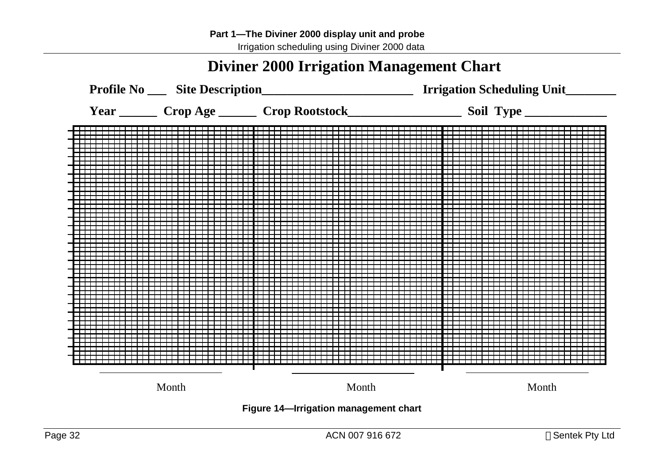# **Diviner 2000 Irrigation Management Chart**

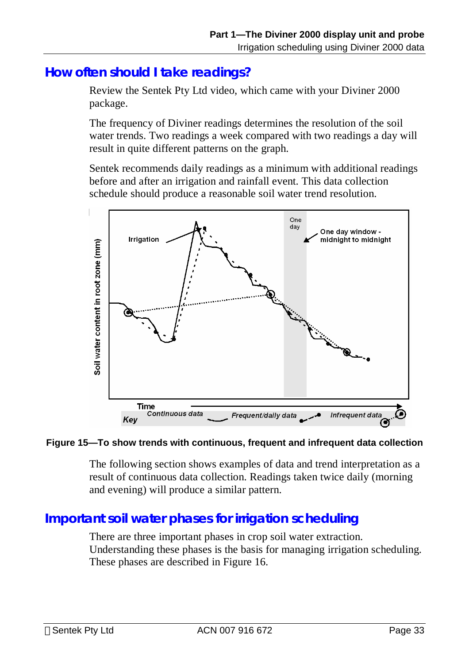## **How often should I take readings?**

Review the Sentek Pty Ltd video, which came with your Diviner 2000 package.

The frequency of Diviner readings determines the resolution of the soil water trends. Two readings a week compared with two readings a day will result in quite different patterns on the graph.

Sentek recommends daily readings as a minimum with additional readings before and after an irrigation and rainfall event. This data collection schedule should produce a reasonable soil water trend resolution.



#### **Figure 15—To show trends with continuous, frequent and infrequent data collection**

The following section shows examples of data and trend interpretation as a result of continuous data collection. Readings taken twice daily (morning and evening) will produce a similar pattern.

## **Important soil water phases for irrigation scheduling**

There are three important phases in crop soil water extraction. Understanding these phases is the basis for managing irrigation scheduling. These phases are described in Figure 16.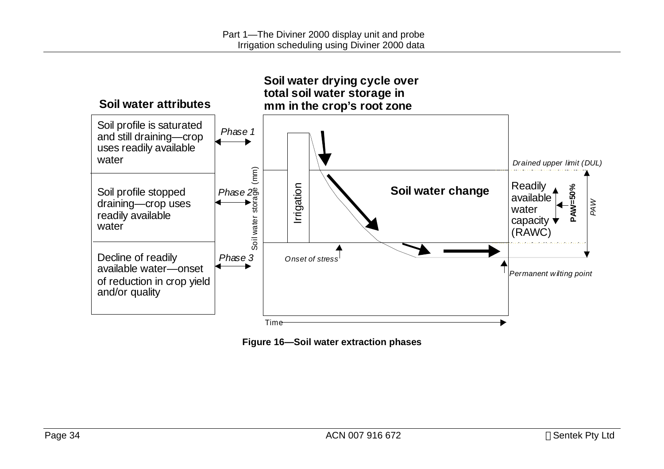

**Figure 16—Soil water extraction phases**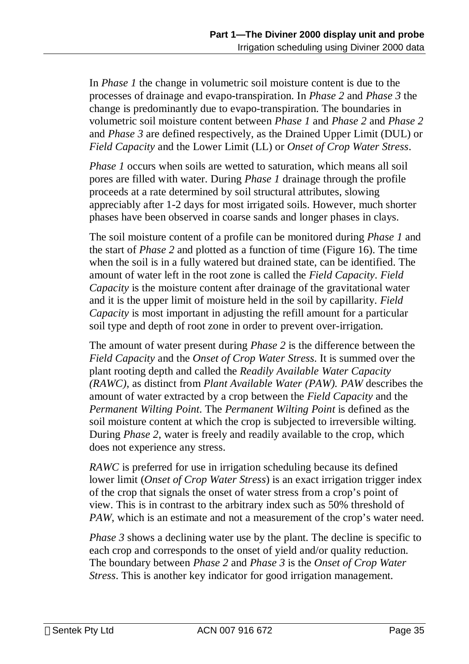In *Phase 1* the change in volumetric soil moisture content is due to the processes of drainage and evapo-transpiration. In *Phase 2* and *Phase 3* the change is predominantly due to evapo-transpiration. The boundaries in volumetric soil moisture content between *Phase 1* and *Phase 2* and *Phase 2*  and *Phase 3* are defined respectively, as the Drained Upper Limit (DUL) or *Field Capacity* and the Lower Limit (LL) or *Onset of Crop Water Stress*.

*Phase 1* occurs when soils are wetted to saturation, which means all soil pores are filled with water. During *Phase 1* drainage through the profile proceeds at a rate determined by soil structural attributes, slowing appreciably after 1-2 days for most irrigated soils. However, much shorter phases have been observed in coarse sands and longer phases in clays.

The soil moisture content of a profile can be monitored during *Phase 1* and the start of *Phase 2* and plotted as a function of time (Figure 16). The time when the soil is in a fully watered but drained state, can be identified. The amount of water left in the root zone is called the *Field Capacity*. *Field Capacity* is the moisture content after drainage of the gravitational water and it is the upper limit of moisture held in the soil by capillarity. *Field Capacity* is most important in adjusting the refill amount for a particular soil type and depth of root zone in order to prevent over-irrigation.

The amount of water present during *Phase 2* is the difference between the *Field Capacity* and the *Onset of Crop Water Stress*. It is summed over the plant rooting depth and called the *Readily Available Water Capacity (RAWC)*, as distinct from *Plant Available Water (PAW). PAW* describes the amount of water extracted by a crop between the *Field Capacity* and the *Permanent Wilting Point*. The *Permanent Wilting Point* is defined as the soil moisture content at which the crop is subjected to irreversible wilting. During *Phase 2*, water is freely and readily available to the crop, which does not experience any stress.

*RAWC* is preferred for use in irrigation scheduling because its defined lower limit (*Onset of Crop Water Stress*) is an exact irrigation trigger index of the crop that signals the onset of water stress from a crop's point of view. This is in contrast to the arbitrary index such as 50% threshold of *PAW*, which is an estimate and not a measurement of the crop's water need.

*Phase* 3 shows a declining water use by the plant. The decline is specific to each crop and corresponds to the onset of yield and/or quality reduction. The boundary between *Phase 2* and *Phase 3* is the *Onset of Crop Water Stress*. This is another key indicator for good irrigation management.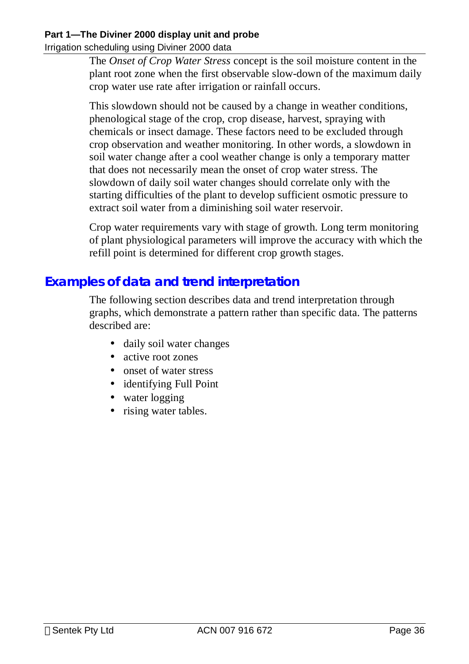#### **Part 1—The Diviner 2000 display unit and probe**

Irrigation scheduling using Diviner 2000 data

The *Onset of Crop Water Stress* concept is the soil moisture content in the plant root zone when the first observable slow-down of the maximum daily crop water use rate after irrigation or rainfall occurs.

This slowdown should not be caused by a change in weather conditions, phenological stage of the crop, crop disease, harvest, spraying with chemicals or insect damage. These factors need to be excluded through crop observation and weather monitoring. In other words, a slowdown in soil water change after a cool weather change is only a temporary matter that does not necessarily mean the onset of crop water stress. The slowdown of daily soil water changes should correlate only with the starting difficulties of the plant to develop sufficient osmotic pressure to extract soil water from a diminishing soil water reservoir.

Crop water requirements vary with stage of growth. Long term monitoring of plant physiological parameters will improve the accuracy with which the refill point is determined for different crop growth stages.

## **Examples of data and trend interpretation**

The following section describes data and trend interpretation through graphs, which demonstrate a pattern rather than specific data. The patterns described are:

- daily soil water changes
- active root zones
- onset of water stress
- identifying Full Point
- water logging
- rising water tables.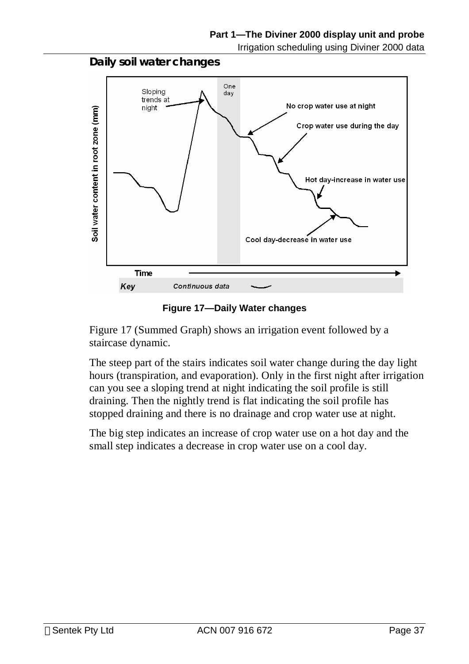



**Figure 17—Daily Water changes** 

Figure 17 (Summed Graph) shows an irrigation event followed by a staircase dynamic.

The steep part of the stairs indicates soil water change during the day light hours (transpiration, and evaporation). Only in the first night after irrigation can you see a sloping trend at night indicating the soil profile is still draining. Then the nightly trend is flat indicating the soil profile has stopped draining and there is no drainage and crop water use at night.

The big step indicates an increase of crop water use on a hot day and the small step indicates a decrease in crop water use on a cool day.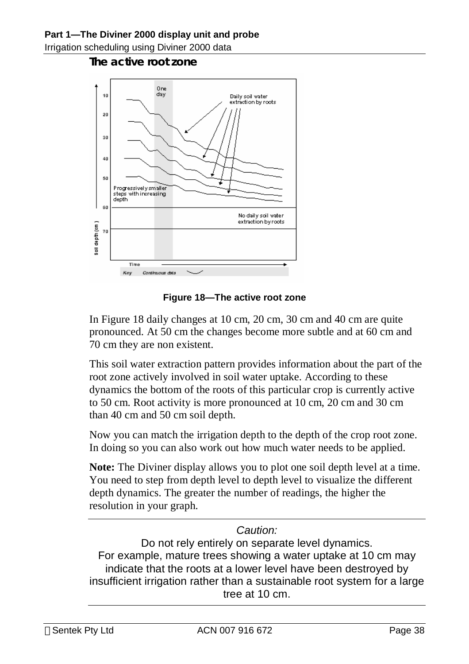#### **The active root zone**



**Figure 18—The active root zone** 

In Figure 18 daily changes at 10 cm, 20 cm, 30 cm and 40 cm are quite pronounced. At 50 cm the changes become more subtle and at 60 cm and 70 cm they are non existent.

This soil water extraction pattern provides information about the part of the root zone actively involved in soil water uptake. According to these dynamics the bottom of the roots of this particular crop is currently active to 50 cm. Root activity is more pronounced at 10 cm, 20 cm and 30 cm than 40 cm and 50 cm soil depth.

Now you can match the irrigation depth to the depth of the crop root zone. In doing so you can also work out how much water needs to be applied.

**Note:** The Diviner display allows you to plot one soil depth level at a time. You need to step from depth level to depth level to visualize the different depth dynamics. The greater the number of readings, the higher the resolution in your graph.

#### *Caution:*

Do not rely entirely on separate level dynamics. For example, mature trees showing a water uptake at 10 cm may indicate that the roots at a lower level have been destroyed by insufficient irrigation rather than a sustainable root system for a large tree at 10 cm.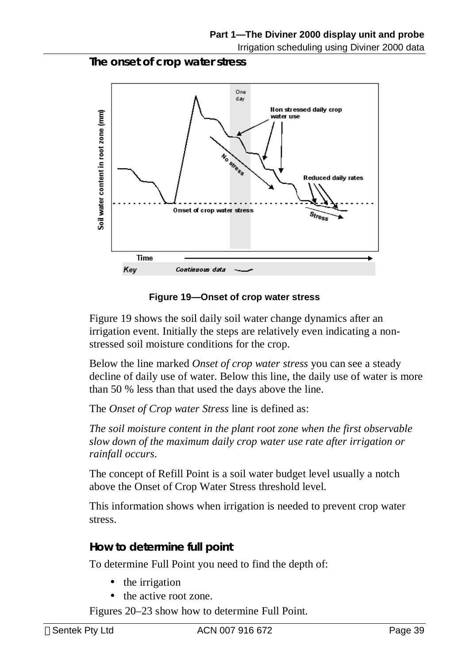**The onset of crop water stress** 



**Figure 19—Onset of crop water stress** 

Figure 19 shows the soil daily soil water change dynamics after an irrigation event. Initially the steps are relatively even indicating a nonstressed soil moisture conditions for the crop.

Below the line marked *Onset of crop water stress* you can see a steady decline of daily use of water. Below this line, the daily use of water is more than 50 % less than that used the days above the line.

The *Onset of Crop water Stress* line is defined as:

*The soil moisture content in the plant root zone when the first observable slow down of the maximum daily crop water use rate after irrigation or rainfall occurs.*

The concept of Refill Point is a soil water budget level usually a notch above the Onset of Crop Water Stress threshold level.

This information shows when irrigation is needed to prevent crop water stress.

#### **How to determine full point**

To determine Full Point you need to find the depth of:

- the irrigation
- the active root zone.

Figures 20–23 show how to determine Full Point.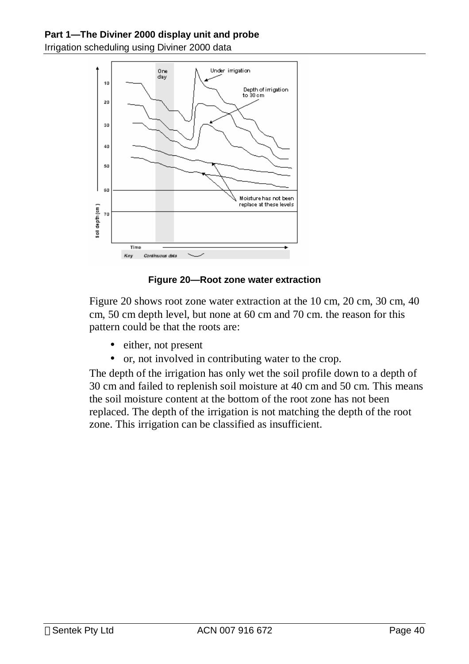

#### **Figure 20—Root zone water extraction**

Figure 20 shows root zone water extraction at the 10 cm, 20 cm, 30 cm, 40 cm, 50 cm depth level, but none at 60 cm and 70 cm. the reason for this pattern could be that the roots are:

- either, not present
- or, not involved in contributing water to the crop.

The depth of the irrigation has only wet the soil profile down to a depth of 30 cm and failed to replenish soil moisture at 40 cm and 50 cm. This means the soil moisture content at the bottom of the root zone has not been replaced. The depth of the irrigation is not matching the depth of the root zone. This irrigation can be classified as insufficient.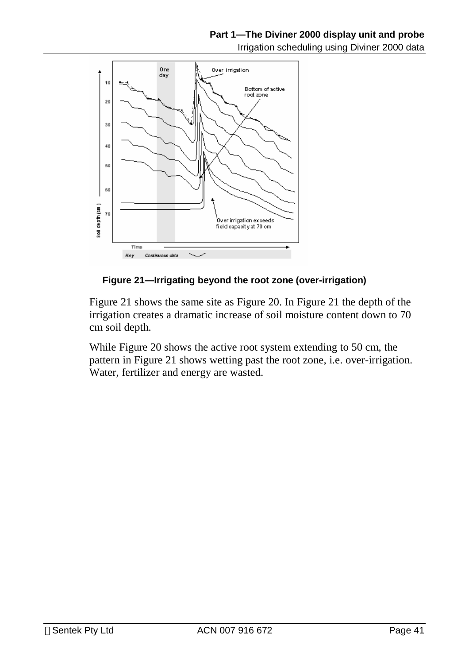

#### **Figure 21—Irrigating beyond the root zone (over-irrigation)**

Figure 21 shows the same site as Figure 20. In Figure 21 the depth of the irrigation creates a dramatic increase of soil moisture content down to 70 cm soil depth.

While Figure 20 shows the active root system extending to 50 cm, the pattern in Figure 21 shows wetting past the root zone, i.e. over-irrigation. Water, fertilizer and energy are wasted.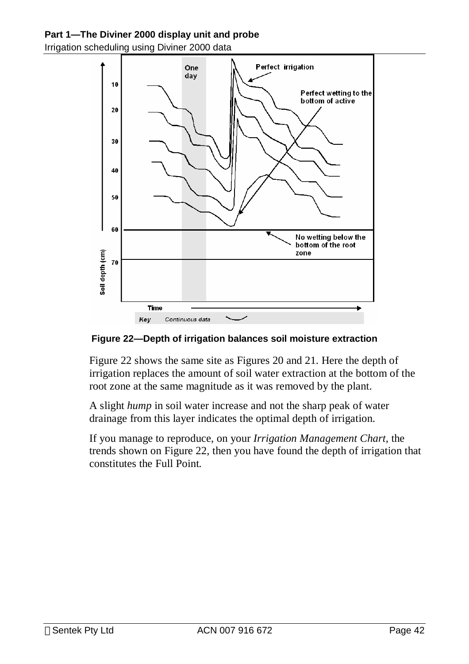#### **Part 1—The Diviner 2000 display unit and probe**

Irrigation scheduling using Diviner 2000 data



**Figure 22—Depth of irrigation balances soil moisture extraction** 

Figure 22 shows the same site as Figures 20 and 21. Here the depth of irrigation replaces the amount of soil water extraction at the bottom of the root zone at the same magnitude as it was removed by the plant.

A slight *hump* in soil water increase and not the sharp peak of water drainage from this layer indicates the optimal depth of irrigation.

If you manage to reproduce, on your *Irrigation Management Chart*, the trends shown on Figure 22, then you have found the depth of irrigation that constitutes the Full Point*.*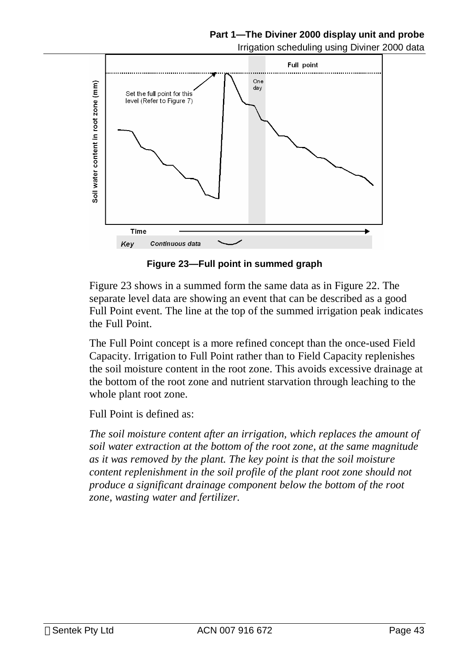#### **Part 1—The Diviner 2000 display unit and probe**

Irrigation scheduling using Diviner 2000 data



**Figure 23—Full point in summed graph** 

Figure 23 shows in a summed form the same data as in Figure 22. The separate level data are showing an event that can be described as a good Full Point event. The line at the top of the summed irrigation peak indicates the Full Point.

The Full Point concept is a more refined concept than the once-used Field Capacity. Irrigation to Full Point rather than to Field Capacity replenishes the soil moisture content in the root zone. This avoids excessive drainage at the bottom of the root zone and nutrient starvation through leaching to the whole plant root zone.

Full Point is defined as:

*The soil moisture content after an irrigation, which replaces the amount of soil water extraction at the bottom of the root zone, at the same magnitude as it was removed by the plant. The key point is that the soil moisture content replenishment in the soil profile of the plant root zone should not produce a significant drainage component below the bottom of the root zone, wasting water and fertilizer.*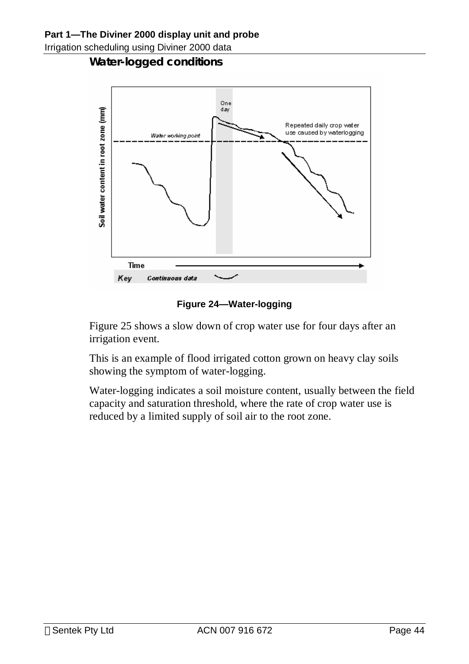**Water-logged conditions** 



**Figure 24—Water-logging** 

Figure 25 shows a slow down of crop water use for four days after an irrigation event.

This is an example of flood irrigated cotton grown on heavy clay soils showing the symptom of water-logging.

Water-logging indicates a soil moisture content, usually between the field capacity and saturation threshold, where the rate of crop water use is reduced by a limited supply of soil air to the root zone.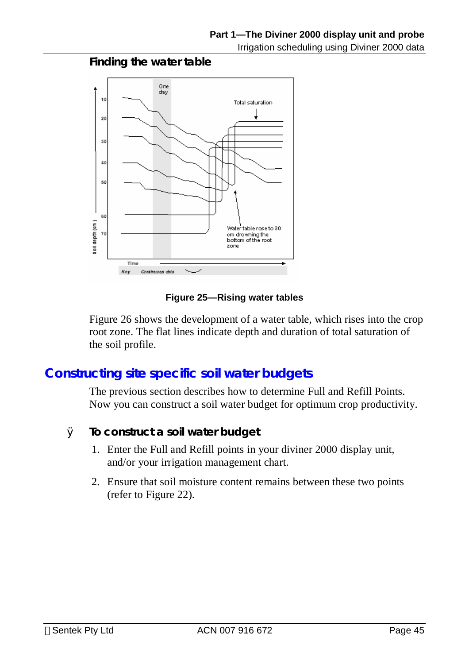#### **Finding the water table**



#### **Figure 25—Rising water tables**

Figure 26 shows the development of a water table, which rises into the crop root zone. The flat lines indicate depth and duration of total saturation of the soil profile.

## **Constructing site specific soil water budgets**

The previous section describes how to determine Full and Refill Points. Now you can construct a soil water budget for optimum crop productivity.

- Ø **To construct a soil water budget** 
	- 1. Enter the Full and Refill points in your diviner 2000 display unit, and/or your irrigation management chart.
	- 2. Ensure that soil moisture content remains between these two points (refer to Figure 22).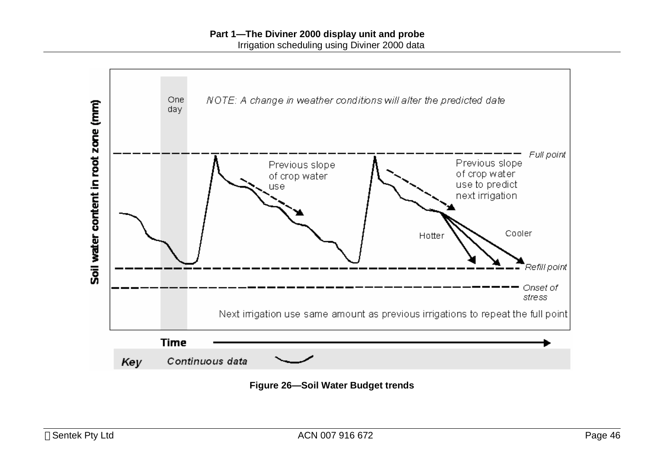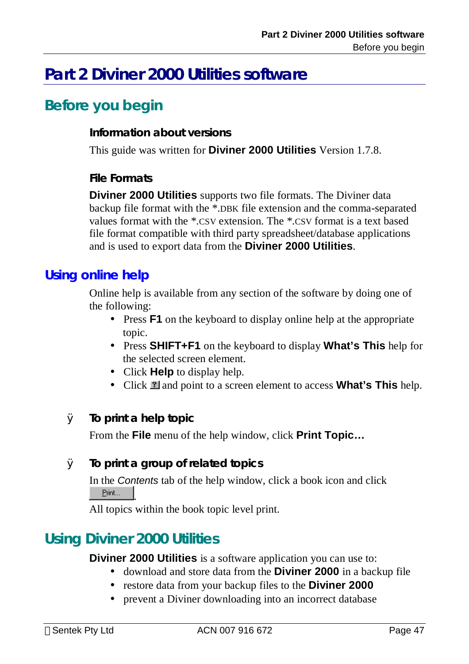# **Before you begin**

#### **Information about versions**

This guide was written for **Diviner 2000 Utilities** Version 1.7.8.

#### **File Formats**

**Diviner 2000 Utilities** supports two file formats. The Diviner data backup file format with the \*.DBK file extension and the comma-separated values format with the \*.CSV extension. The \*.CSV format is a text based file format compatible with third party spreadsheet/database applications and is used to export data from the **Diviner 2000 Utilities**.

### **Using online help**

Online help is available from any section of the software by doing one of the following:

- Press **F1** on the keyboard to display online help at the appropriate topic.
- Press **SHIFT+F1** on the keyboard to display **What's This** help for the selected screen element.
- Click **Help** to display help.
- Click **1** and point to a screen element to access **What's This** help.

#### Ø **To print a help topic**

From the **File** menu of the help window, click **Print Topic…**

#### Ø **To print a group of related topics**

In the *Contents* tab of the help window, click a book icon and click Print... .

All topics within the book topic level print.

## **Using Diviner 2000 Utilities**

**Diviner 2000 Utilities** is a software application you can use to:

- download and store data from the **Diviner 2000** in a backup file
- restore data from your backup files to the **Diviner 2000**
- prevent a Diviner downloading into an incorrect database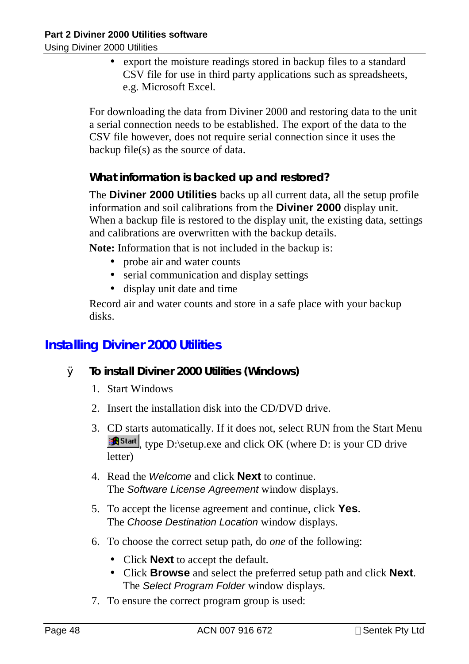Using Diviner 2000 Utilities

• export the moisture readings stored in backup files to a standard CSV file for use in third party applications such as spreadsheets, e.g. Microsoft Excel.

For downloading the data from Diviner 2000 and restoring data to the unit a serial connection needs to be established. The export of the data to the CSV file however, does not require serial connection since it uses the backup file(s) as the source of data.

#### **What information is backed up and restored?**

The **Diviner 2000 Utilities** backs up all current data, all the setup profile information and soil calibrations from the **Diviner 2000** display unit. When a backup file is restored to the display unit, the existing data, settings and calibrations are overwritten with the backup details.

**Note:** Information that is not included in the backup is:

- probe air and water counts
- serial communication and display settings
- display unit date and time

Record air and water counts and store in a safe place with your backup disks.

## **Installing Diviner 2000 Utilities**

- Ø **To install Diviner 2000 Utilities (Windows)** 
	- 1. Start Windows
	- 2. Insert the installation disk into the CD/DVD drive.
	- 3. CD starts automatically. If it does not, select RUN from the Start Menu **Astant**, type D:\setup.exe and click OK (where D: is your CD drive letter)
	- 4. Read the *Welcome* and click **Next** to continue. The *Software License Agreement* window displays.
	- 5. To accept the license agreement and continue, click **Yes**. The *Choose Destination Location* window displays.
	- 6. To choose the correct setup path, do *one* of the following:
		- Click **Next** to accept the default.
		- Click **Browse** and select the preferred setup path and click **Next**. The *Select Program Folder* window displays.
	- 7. To ensure the correct program group is used: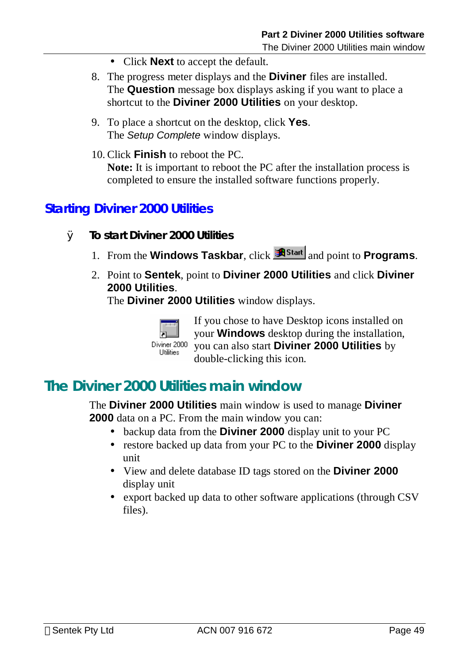- Click **Next** to accept the default.
- 8. The progress meter displays and the **Diviner** files are installed. The **Question** message box displays asking if you want to place a shortcut to the **Diviner 2000 Utilities** on your desktop.
- 9. To place a shortcut on the desktop, click **Yes**. The *Setup Complete* window displays.
- 10. Click **Finish** to reboot the PC. **Note:** It is important to reboot the PC after the installation process is completed to ensure the installed software functions properly.

## **Starting Diviner 2000 Utilities**

- Ø **To start Diviner 2000 Utilities** 
	- 1. From the **Windows Taskbar**, click **<sup><b>R**Start</sup> and point to **Programs**.
	- 2. Point to **Sentek**, point to **Diviner 2000 Utilities** and click **Diviner 2000 Utilities**.

The **Diviner 2000 Utilities** window displays.



If you chose to have Desktop icons installed on your **Windows** desktop during the installation, you can also start **Diviner 2000 Utilities** by double-clicking this icon.

## **The Diviner 2000 Utilities main window**

The **Diviner 2000 Utilities** main window is used to manage **Diviner 2000** data on a PC. From the main window you can:

- backup data from the **Diviner 2000** display unit to your PC
- restore backed up data from your PC to the **Diviner 2000** display unit
- View and delete database ID tags stored on the **Diviner 2000** display unit
- export backed up data to other software applications (through CSV) files).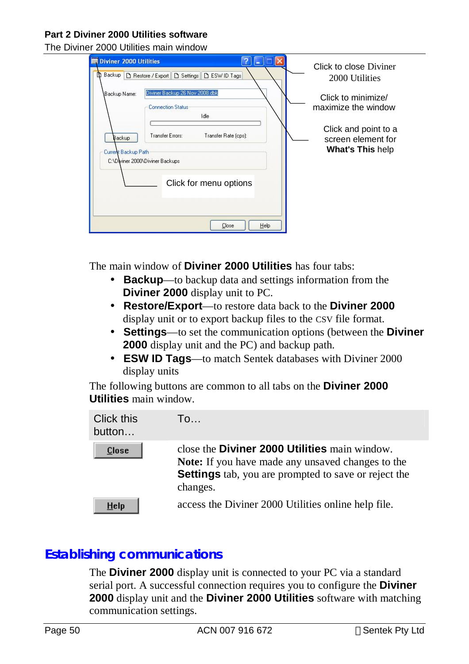The Diviner 2000 Utilities main window

| Diviner 2000 Utilities<br>D<br>Backup<br>D Restore / Export   D Settings   D ESW ID Tags                    | Click to close Diviner<br>2000 Utilities                              |
|-------------------------------------------------------------------------------------------------------------|-----------------------------------------------------------------------|
| Diviner Backup 26 Nov 2008.dbk<br>Backup Name:<br><b>Connection Status</b><br>Idle                          | Click to minimize/<br>maximize the window                             |
| Transfer Errors:<br>Transfer Rate (cps):<br>Backup<br>Current Backup Path<br>C:\Dwiner 2000\Diviner Backups | Click and point to a<br>screen element for<br><b>What's This help</b> |
| Click for menu options<br>Help<br>Close                                                                     |                                                                       |

The main window of **Diviner 2000 Utilities** has four tabs:

- **Backup**—to backup data and settings information from the **Diviner 2000** display unit to PC.
- **Restore/Export**—to restore data back to the **Diviner 2000**  display unit or to export backup files to the CSV file format.
- **Settings**—to set the communication options (between the **Diviner 2000** display unit and the PC) and backup path.
- **ESW ID Tags**—to match Sentek databases with Diviner 2000 display units

The following buttons are common to all tabs on the **Diviner 2000 Utilities** main window.

| Click this<br>button | To                                                                                                                                                                                          |
|----------------------|---------------------------------------------------------------------------------------------------------------------------------------------------------------------------------------------|
| <b>Close</b>         | close the <b>Diviner 2000 Utilities</b> main window.<br><b>Note:</b> If you have made any unsaved changes to the<br><b>Settings</b> tab, you are prompted to save or reject the<br>changes. |
| HeIp                 | access the Diviner 2000 Utilities online help file.                                                                                                                                         |

## **Establishing communications**

The **Diviner 2000** display unit is connected to your PC via a standard serial port. A successful connection requires you to configure the **Diviner 2000** display unit and the **Diviner 2000 Utilities** software with matching communication settings.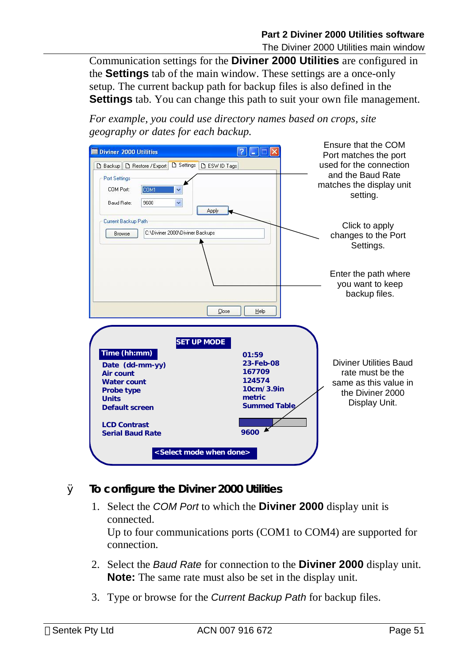The Diviner 2000 Utilities main window

Communication settings for the **Diviner 2000 Utilities** are configured in the **Settings** tab of the main window. These settings are a once-only setup. The current backup path for backup files is also defined in the **Settings** tab. You can change this path to suit your own file management.

*For example, you could use directory names based on crops, site geography or dates for each backup.* 



- Ø **To configure the Diviner 2000 Utilities** 
	- 1. Select the *COM Port* to which the **Diviner 2000** display unit is connected. Up to four communications ports (COM1 to COM4) are supported for connection.
	- 2. Select the *Baud Rate* for connection to the **Diviner 2000** display unit. **Note:** The same rate must also be set in the display unit.
	- 3. Type or browse for the *Current Backup Path* for backup files.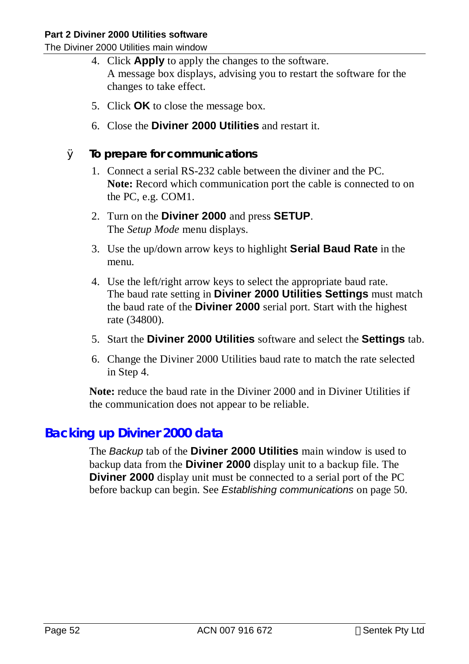The Diviner 2000 Utilities main window

- 4. Click **Apply** to apply the changes to the software. A message box displays, advising you to restart the software for the changes to take effect.
- 5. Click **OK** to close the message box.
- 6. Close the **Diviner 2000 Utilities** and restart it.
- Ø **To prepare for communications** 
	- 1. Connect a serial RS-232 cable between the diviner and the PC. **Note:** Record which communication port the cable is connected to on the PC, e.g. COM1.
	- 2. Turn on the **Diviner 2000** and press **SETUP**. The *Setup Mode* menu displays.
	- 3. Use the up/down arrow keys to highlight **Serial Baud Rate** in the menu.
	- 4. Use the left/right arrow keys to select the appropriate baud rate. The baud rate setting in **Diviner 2000 Utilities Settings** must match the baud rate of the **Diviner 2000** serial port. Start with the highest rate (34800).
	- 5. Start the **Diviner 2000 Utilities** software and select the **Settings** tab.
	- 6. Change the Diviner 2000 Utilities baud rate to match the rate selected in Step 4.

**Note:** reduce the baud rate in the Diviner 2000 and in Diviner Utilities if the communication does not appear to be reliable.

## **Backing up Diviner 2000 data**

The *Backup* tab of the **Diviner 2000 Utilities** main window is used to backup data from the **Diviner 2000** display unit to a backup file. The **Diviner 2000** display unit must be connected to a serial port of the PC before backup can begin. See *Establishing communications* on page 50.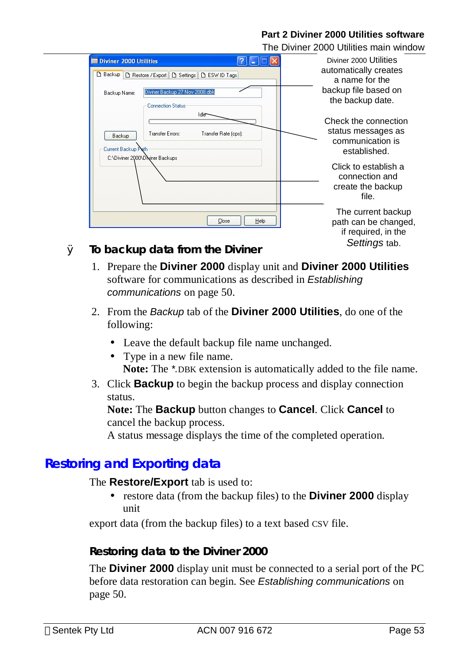|                                                                                                                                                  | The Diviner 2000 Utilities main window                                                             |
|--------------------------------------------------------------------------------------------------------------------------------------------------|----------------------------------------------------------------------------------------------------|
| <b>Diviner 2000 Utilities</b><br>B Restore / Export   B Settings   B ESW ID Tags<br>Backup<br>Diviner Backup 27 Nov 2008.dbk<br>Backup Name:     | Diviner 2000 Utilities<br>automatically creates<br>a name for the<br>backup file based on          |
| <b>Connection Status</b><br>Idle<br>Transfer Errors:<br>Transfer Rate (cps):<br>Backup<br>Current Backup Path<br>C:\Diviner 2000\Diviner Backups | the backup date.<br>Check the connection<br>status messages as<br>communication is<br>established. |
|                                                                                                                                                  | Click to establish a<br>connection and<br>create the backup<br>file.                               |
| Close<br>To bookup dota from the Diviner<br>$\sim$                                                                                               | The current backup<br>Help<br>path can be changed,<br>if required, in the<br>Settings tab.         |

Ø **To backup data from the Diviner** 

- 1. Prepare the **Diviner 2000** display unit and **Diviner 2000 Utilities**  software for communications as described in *Establishing communications* on page 50.
- 2. From the *Backup* tab of the **Diviner 2000 Utilities**, do one of the following:
	- Leave the default backup file name unchanged.
	- Type in a new file name. **Note:** The *\*.*DBK extension is automatically added to the file name.
- 3. Click **Backup** to begin the backup process and display connection status.

**Note:** The **Backup** button changes to **Cancel**. Click **Cancel** to cancel the backup process.

A status message displays the time of the completed operation.

## **Restoring and Exporting data**

#### The **Restore/Export** tab is used to:

• restore data (from the backup files) to the **Diviner 2000** display unit

export data (from the backup files) to a text based CSV file.

#### **Restoring data to the Diviner 2000**

The **Diviner 2000** display unit must be connected to a serial port of the PC before data restoration can begin. See *Establishing communications* on page 50.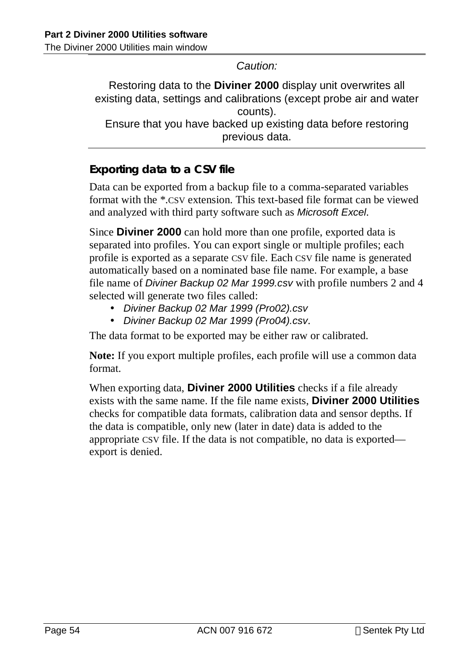*Caution:* 

Restoring data to the **Diviner 2000** display unit overwrites all existing data, settings and calibrations (except probe air and water counts). Ensure that you have backed up existing data before restoring previous data.

### **Exporting data to a CSV file**

Data can be exported from a backup file to a comma-separated variables format with the \*.CSV extension. This text-based file format can be viewed and analyzed with third party software such as *Microsoft Excel*.

Since **Diviner 2000** can hold more than one profile, exported data is separated into profiles. You can export single or multiple profiles; each profile is exported as a separate CSV file. Each CSV file name is generated automatically based on a nominated base file name. For example, a base file name of *Diviner Backup 02 Mar 1999.csv* with profile numbers 2 and 4 selected will generate two files called:

- *Diviner Backup 02 Mar 1999 (Pro02).csv*
- *Diviner Backup 02 Mar 1999 (Pro04).csv*.

The data format to be exported may be either raw or calibrated.

**Note:** If you export multiple profiles, each profile will use a common data format.

When exporting data, **Diviner 2000 Utilities** checks if a file already exists with the same name. If the file name exists, **Diviner 2000 Utilities** checks for compatible data formats, calibration data and sensor depths. If the data is compatible, only new (later in date) data is added to the appropriate CSV file. If the data is not compatible, no data is exported export is denied.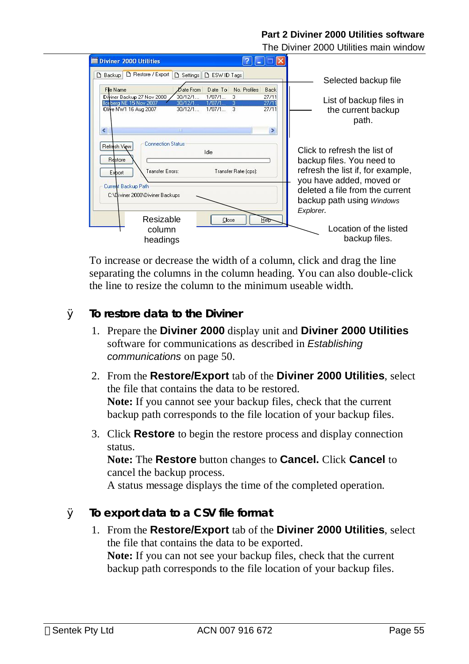The Diviner 2000 Utilities main window

| <b>Diviner 2000 Utilities</b><br>Restore / Export                                                          |                                                                                                                              |                              |                                        |                                                                                                                            |
|------------------------------------------------------------------------------------------------------------|------------------------------------------------------------------------------------------------------------------------------|------------------------------|----------------------------------------|----------------------------------------------------------------------------------------------------------------------------|
| <b>Backup</b><br>Fle Name<br>Diviner Backup 27 Nov 2008<br>Iceberg NE 15 Nov 2007<br>Olive NW1 16 Aug 2007 | D ESW ID Tags<br><b>D</b> Settings<br>Date From<br>Date To<br>30/12/1<br>$1/07/1$<br>30/12/1.<br>1/07/1<br>1/07/1<br>30/12/1 | No. Profiles<br>3<br>3<br>-3 | <b>Back</b><br>27/11<br>27/11<br>27/11 | Selected backup file<br>List of backup files in<br>the current backup                                                      |
| $\leq$<br><b>Connection Status</b><br>Refresh View                                                         | $\mathbf{m}$                                                                                                                 |                              | ×                                      | path.                                                                                                                      |
| Restore<br>Transfer Errors:<br>Export                                                                      | Idle                                                                                                                         | Transfer Rate (cps):         |                                        | Click to refresh the list of<br>backup files. You need to<br>refresh the list if, for example,<br>you have added, moved or |
| Current Backup Path<br>C:\Diviner 2000\Diviner Backups                                                     |                                                                                                                              |                              |                                        | deleted a file from the current<br>backup path using Windows<br>Explorer.                                                  |
| Resizable<br>column<br>headings                                                                            | Close                                                                                                                        |                              | Heit                                   | Location of the listed<br>backup files.                                                                                    |

To increase or decrease the width of a column, click and drag the line separating the columns in the column heading. You can also double-click the line to resize the column to the minimum useable width.

#### Ø **To restore data to the Diviner**

- 1. Prepare the **Diviner 2000** display unit and **Diviner 2000 Utilities** software for communications as described in *Establishing communications* on page 50.
- 2. From the **Restore/Export** tab of the **Diviner 2000 Utilities**, select the file that contains the data to be restored. **Note:** If you cannot see your backup files, check that the current backup path corresponds to the file location of your backup files.
- 3. Click **Restore** to begin the restore process and display connection status.

**Note:** The **Restore** button changes to **Cancel.** Click **Cancel** to cancel the backup process.

A status message displays the time of the completed operation.

- Ø **To export data to a CSV file format** 
	- 1. From the **Restore/Export** tab of the **Diviner 2000 Utilities**, select the file that contains the data to be exported. **Note:** If you can not see your backup files, check that the current backup path corresponds to the file location of your backup files.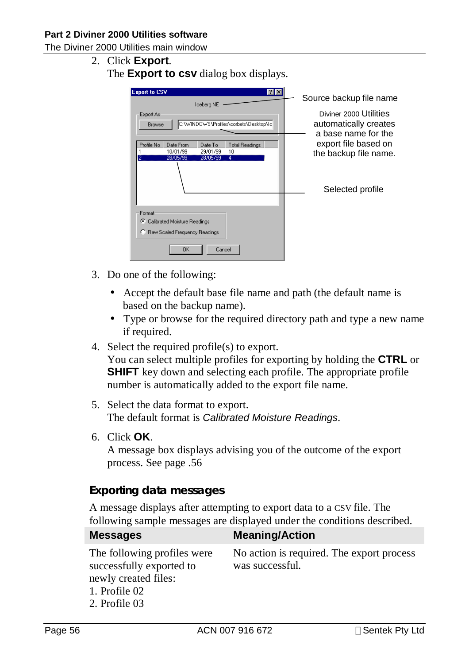The Diviner 2000 Utilities main window

2. Click **Export**. The **Export to csv** dialog box displays.

| <b>Export to CSV</b><br>$?$ $\times$                                               |                                                                        |
|------------------------------------------------------------------------------------|------------------------------------------------------------------------|
| Iceberg NE                                                                         | Source backup file name                                                |
| Export As:<br>C:\WINDOWS\Profiles\corbets\Desktop\Ic <br><b>Browse</b>             | Diviner 2000 Utilities<br>automatically creates<br>a base name for the |
| Profile No<br>Date From<br>Date To<br>Total Readings<br>10/01/99<br>29/01/99<br>10 | export file based on<br>the backup file name.                          |
| 料<br>28/05/99<br>28/05/99<br>4                                                     | Selected profile                                                       |
| Format                                                                             |                                                                        |
| G.<br>Calibrated Moisture Readings                                                 |                                                                        |
| Raw Scaled Frequency Readings                                                      |                                                                        |
| Cancel<br>OΚ                                                                       |                                                                        |

- 3. Do one of the following:
	- Accept the default base file name and path (the default name is based on the backup name).
	- Type or browse for the required directory path and type a new name if required.
- 4. Select the required profile(s) to export.

You can select multiple profiles for exporting by holding the **CTRL** or **SHIFT** key down and selecting each profile. The appropriate profile number is automatically added to the export file name.

- 5. Select the data format to export. The default format is *Calibrated Moisture Readings*.
- 6. Click **OK**.

A message box displays advising you of the outcome of the export process. See page .56

#### **Exporting data messages**

A message displays after attempting to export data to a CSV file. The following sample messages are displayed under the conditions described.

| <b>Messages</b>                                                                                                   | <b>Meaning/Action</b>                                        |
|-------------------------------------------------------------------------------------------------------------------|--------------------------------------------------------------|
| The following profiles were<br>successfully exported to<br>newly created files:<br>1. Profile 02<br>2. Profile 03 | No action is required. The export process<br>was successful. |
|                                                                                                                   |                                                              |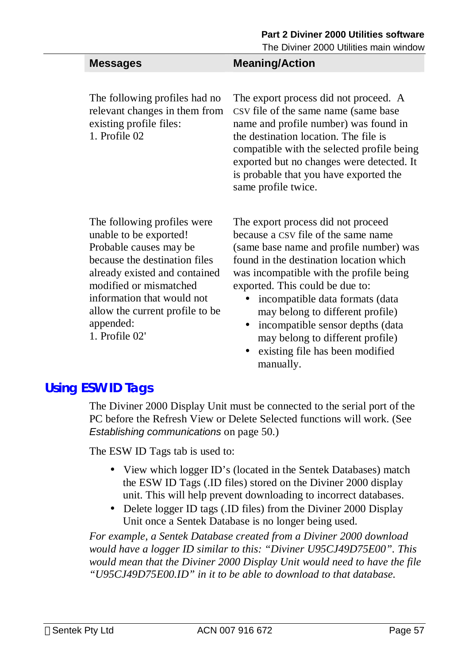The Diviner 2000 Utilities main window

| <b>Messages</b> | <b>Meaning/Action</b> |
|-----------------|-----------------------|
|                 |                       |

The following profiles had no relevant changes in them from existing profile files: 1. Profile 02

The export process did not proceed. A CSV file of the same name (same base name and profile number) was found in the destination location. The file is compatible with the selected profile being exported but no changes were detected. It is probable that you have exported the same profile twice.

The following profiles were unable to be exported! Probable causes may be because the destination files already existed and contained modified or mismatched information that would not allow the current profile to be appended: 1. Profile 02'

The export process did not proceed because a CSV file of the same name (same base name and profile number) was found in the destination location which was incompatible with the profile being exported. This could be due to:

- incompatible data formats (data may belong to different profile)
- incompatible sensor depths (data may belong to different profile)
- existing file has been modified manually.

## **Using ESW ID Tags**

The Diviner 2000 Display Unit must be connected to the serial port of the PC before the Refresh View or Delete Selected functions will work. (See *Establishing communications* on page 50.)

The ESW ID Tags tab is used to:

- View which logger ID's (located in the Sentek Databases) match the ESW ID Tags (.ID files) stored on the Diviner 2000 display unit. This will help prevent downloading to incorrect databases.
- Delete logger ID tags (.ID files) from the Diviner 2000 Display Unit once a Sentek Database is no longer being used.

*For example, a Sentek Database created from a Diviner 2000 download would have a logger ID similar to this: "Diviner U95CJ49D75E00". This would mean that the Diviner 2000 Display Unit would need to have the file "U95CJ49D75E00.ID" in it to be able to download to that database.*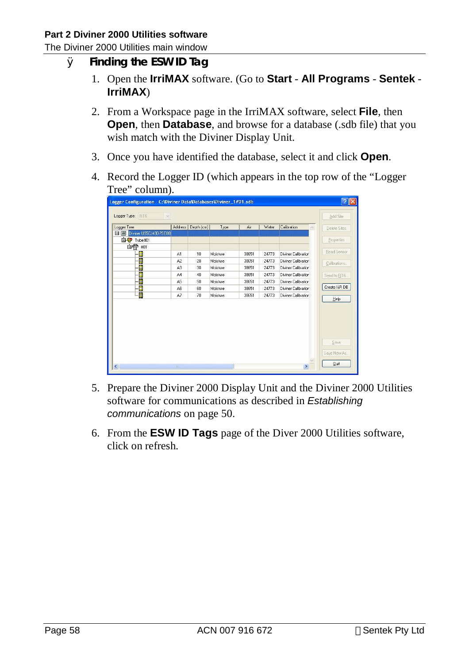The Diviner 2000 Utilities main window

- Ø **Finding the ESW ID Tag** 
	- 1. Open the **IrriMAX** software. (Go to **Start All Programs Sentek IrriMAX**)
	- 2. From a Workspace page in the IrriMAX software, select **File**, then **Open**, then **Database**, and browse for a database (.sdb file) that you wish match with the Diviner Display Unit.
	- 3. Once you have identified the database, select it and click **Open**.
	- 4. Record the Logger ID (which appears in the top row of the "Logger Tree" column).

| Logger Configuration - C: Wiviner Data Databases Wiviner_1#01.sdb |                |            |          |       |       |                            |                             |
|-------------------------------------------------------------------|----------------|------------|----------|-------|-------|----------------------------|-----------------------------|
| Logger Type:<br>RT6<br>Sé.                                        |                |            |          |       |       |                            | Add Site                    |
| Logger Tree                                                       | Address        | Depth (cm) | Type     | Air   | Water | Calibration                | Delete Sites                |
| Diviner U95CJ49D7SE00<br>$-1$ $\infty$                            |                |            |          |       |       |                            |                             |
| 自守<br>Tube#01                                                     |                |            |          |       |       |                            | Properties                  |
| 自骨 #01                                                            |                |            |          |       |       |                            | Read Sensor                 |
| E                                                                 | A1             | 10         | Moisture | 38651 | 24773 | Diviner Calibration        |                             |
| ₿                                                                 | A <sub>2</sub> | 20         | Moisture | 38651 | 24773 | Diviner Calibration        | Calibrations                |
| B                                                                 | A <sub>3</sub> | 30         | Moisture | 38651 | 24773 | Diviner Calibration        |                             |
| E                                                                 | A4             | 40         | Moisture | 38651 | 24773 | Diviner Calibration        | Send to RT6                 |
| ₿                                                                 | A <sub>5</sub> | 50         | Moisture | 38651 | 24773 | <b>Diviner Calibration</b> |                             |
| E                                                                 | A6             | 60         | Moisture | 38651 | 24773 | Diviner Calibration        | Create I&R DB               |
| Ë                                                                 | A7             | 70         | Moisture | 38651 | 24773 | Diviner Calibration        | Help                        |
|                                                                   |                |            |          |       |       |                            |                             |
| $\left  \cdot \right $                                            | <b>TITLE</b>   |            |          |       |       | $\,$                       | Save<br>Save New As<br>Quit |

- 5. Prepare the Diviner 2000 Display Unit and the Diviner 2000 Utilities software for communications as described in *Establishing communications* on page 50.
- 6. From the **ESW ID Tags** page of the Diver 2000 Utilities software, click on refresh.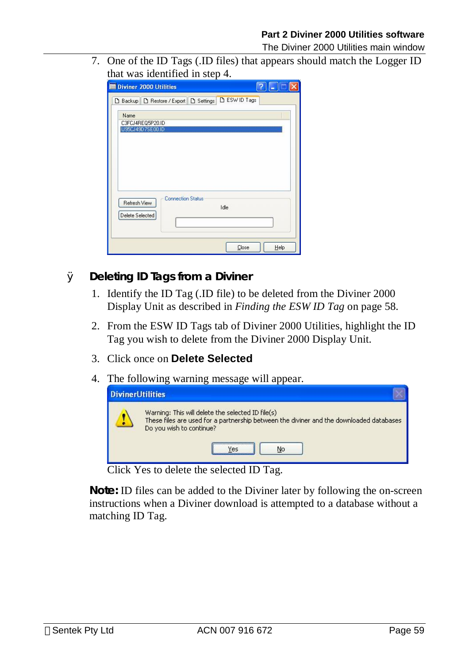The Diviner 2000 Utilities main window

7. One of the ID Tags (.ID files) that appears should match the Logger ID that was identified in step 4.

| <b>Diviner 2000 Utilities</b>                                       |      |
|---------------------------------------------------------------------|------|
| D Backup D Restore / Export D Settings D ESW ID Tags                |      |
| Name<br>C3FCJ4REQ5P20.ID<br>U95CJ49D7SE00.ID                        |      |
|                                                                     |      |
| <b>Connection Status</b><br>Refresh View<br>Idle<br>Delete Selected |      |
| Close                                                               | Help |

#### Ø **Deleting ID Tags from a Diviner**

- 1. Identify the ID Tag (.ID file) to be deleted from the Diviner 2000 Display Unit as described in *Finding the ESW ID Tag* on page 58.
- 2. From the ESW ID Tags tab of Diviner 2000 Utilities, highlight the ID Tag you wish to delete from the Diviner 2000 Display Unit.
- 3. Click once on **Delete Selected**
- 4. The following warning message will appear.



Click Yes to delete the selected ID Tag.

**Note:** ID files can be added to the Diviner later by following the on-screen instructions when a Diviner download is attempted to a database without a matching ID Tag.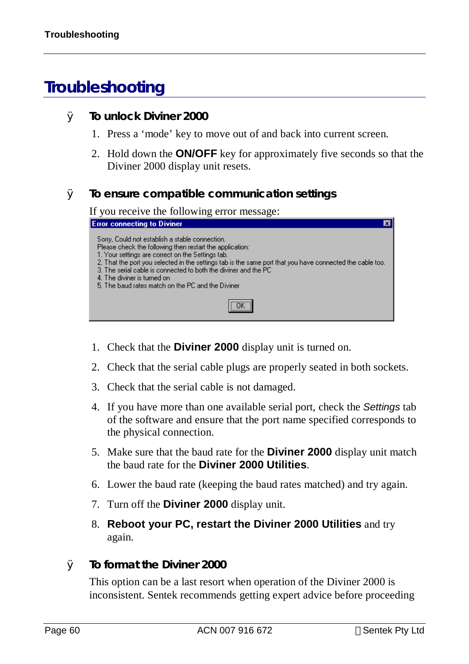# **Troubleshooting**

- Ø **To unlock Diviner 2000** 
	- 1. Press a 'mode' key to move out of and back into current screen.
	- 2. Hold down the **ON/OFF** key for approximately five seconds so that the Diviner 2000 display unit resets.

#### Ø **To ensure compatible communication settings**

If you receive the following error message:

| <b>Error connecting to Diviner</b>                                                                                                                                                                                                                                                                                                                                                                                                    |
|---------------------------------------------------------------------------------------------------------------------------------------------------------------------------------------------------------------------------------------------------------------------------------------------------------------------------------------------------------------------------------------------------------------------------------------|
| Sorry, Could not establish a stable connection.<br>Please check the following then restart the application:<br>1. Your settings are correct on the Settings tab.<br>2. That the port you selected in the settings tab is the same port that you have connected the cable too.<br>3. The serial cable is connected to both the diviner and the PC.<br>4. The diviner is turned on<br>5. The baud rates match on the PC and the Diviner |
|                                                                                                                                                                                                                                                                                                                                                                                                                                       |

- 1. Check that the **Diviner 2000** display unit is turned on.
- 2. Check that the serial cable plugs are properly seated in both sockets.
- 3. Check that the serial cable is not damaged.
- 4. If you have more than one available serial port, check the *Settings* tab of the software and ensure that the port name specified corresponds to the physical connection.
- 5. Make sure that the baud rate for the **Diviner 2000** display unit match the baud rate for the **Diviner 2000 Utilities**.
- 6. Lower the baud rate (keeping the baud rates matched) and try again.
- 7. Turn off the **Diviner 2000** display unit.
- 8. **Reboot your PC, restart the Diviner 2000 Utilities** and try again.
- Ø **To format the Diviner 2000**

This option can be a last resort when operation of the Diviner 2000 is inconsistent. Sentek recommends getting expert advice before proceeding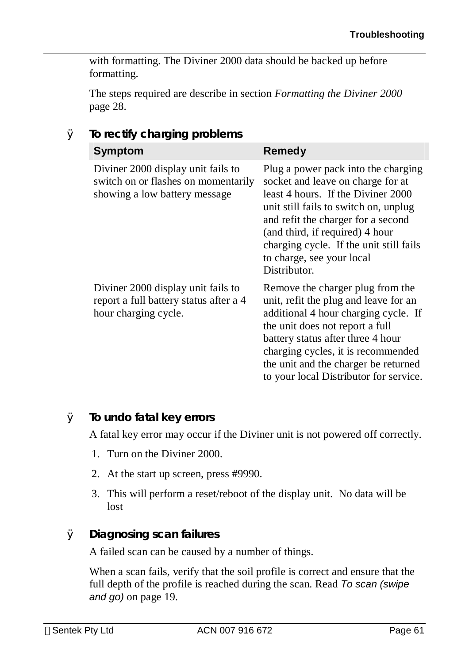with formatting. The Diviner 2000 data should be backed up before formatting.

The steps required are describe in section *Formatting the Diviner 2000* page 28.

| io rectiry originity problems                                                                              |                                                                                                                                                                                                                                                                                                                          |
|------------------------------------------------------------------------------------------------------------|--------------------------------------------------------------------------------------------------------------------------------------------------------------------------------------------------------------------------------------------------------------------------------------------------------------------------|
| <b>Symptom</b>                                                                                             | <b>Remedy</b>                                                                                                                                                                                                                                                                                                            |
| Diviner 2000 display unit fails to<br>switch on or flashes on momentarily<br>showing a low battery message | Plug a power pack into the charging<br>socket and leave on charge for at<br>least 4 hours. If the Diviner 2000<br>unit still fails to switch on, unplug<br>and refit the charger for a second<br>(and third, if required) 4 hour<br>charging cycle. If the unit still fails<br>to charge, see your local<br>Distributor. |
| Diviner 2000 display unit fails to<br>report a full battery status after a 4<br>hour charging cycle.       | Remove the charger plug from the<br>unit, refit the plug and leave for an<br>additional 4 hour charging cycle. If<br>the unit does not report a full<br>battery status after three 4 hour<br>charging cycles, it is recommended<br>the unit and the charger be returned<br>to your local Distributor for service.        |

#### Ø **To rectify charging problems**

#### Ø **To undo fatal key errors**

A fatal key error may occur if the Diviner unit is not powered off correctly.

- 1. Turn on the Diviner 2000.
- 2. At the start up screen, press #9990.
- 3. This will perform a reset/reboot of the display unit. No data will be lost

#### Ø **Diagnosing scan failures**

A failed scan can be caused by a number of things.

When a scan fails, verify that the soil profile is correct and ensure that the full depth of the profile is reached during the scan. Read *To scan (swipe and go)* on page 19.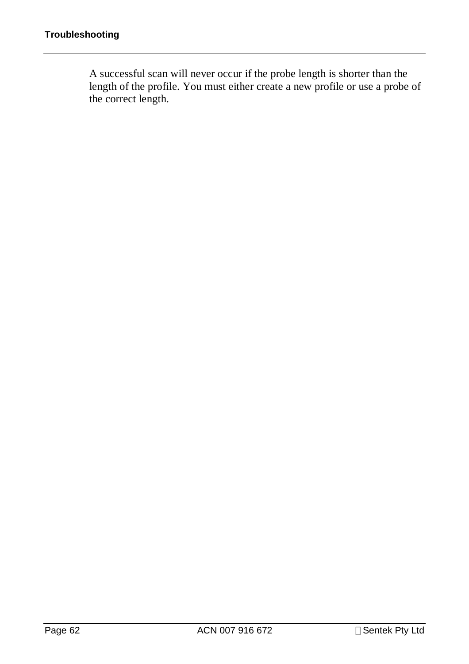A successful scan will never occur if the probe length is shorter than the length of the profile. You must either create a new profile or use a probe of the correct length.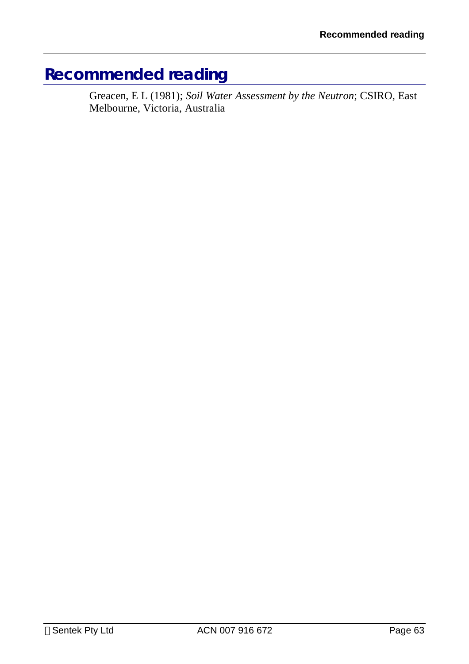# **Recommended reading**

Greacen, E L (1981); *Soil Water Assessment by the Neutron*; CSIRO, East Melbourne, Victoria, Australia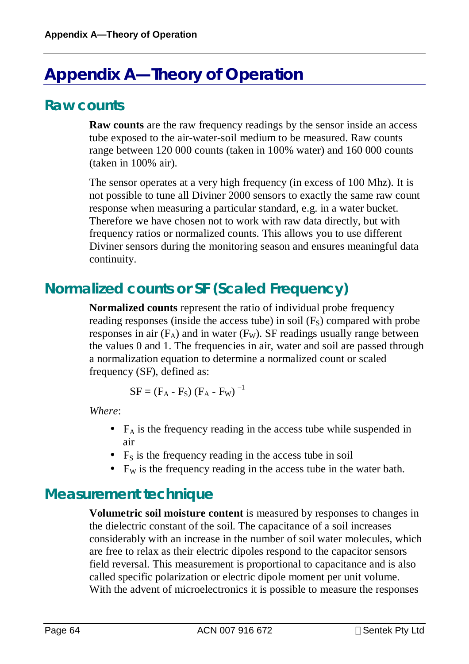# **Appendix A—Theory of Operation**

## **Raw counts**

**Raw counts** are the raw frequency readings by the sensor inside an access tube exposed to the air-water-soil medium to be measured. Raw counts range between 120 000 counts (taken in 100% water) and 160 000 counts (taken in 100% air).

The sensor operates at a very high frequency (in excess of 100 Mhz). It is not possible to tune all Diviner 2000 sensors to exactly the same raw count response when measuring a particular standard, e.g. in a water bucket. Therefore we have chosen not to work with raw data directly, but with frequency ratios or normalized counts. This allows you to use different Diviner sensors during the monitoring season and ensures meaningful data continuity.

# **Normalized counts or SF (Scaled Frequency)**

**Normalized counts** represent the ratio of individual probe frequency reading responses (inside the access tube) in soil  $(F<sub>S</sub>)$  compared with probe responses in air  $(F_A)$  and in water  $(F_W)$ . SF readings usually range between the values 0 and 1. The frequencies in air, water and soil are passed through a normalization equation to determine a normalized count or scaled frequency (SF), defined as:

$$
SF = (F_A - F_S) (F_A - F_W)^{-1}
$$

*Where*:

- $F_A$  is the frequency reading in the access tube while suspended in air
- $F<sub>S</sub>$  is the frequency reading in the access tube in soil
- $F_W$  is the frequency reading in the access tube in the water bath.

## **Measurement technique**

**Volumetric soil moisture content** is measured by responses to changes in the dielectric constant of the soil. The capacitance of a soil increases considerably with an increase in the number of soil water molecules, which are free to relax as their electric dipoles respond to the capacitor sensors field reversal. This measurement is proportional to capacitance and is also called specific polarization or electric dipole moment per unit volume. With the advent of microelectronics it is possible to measure the responses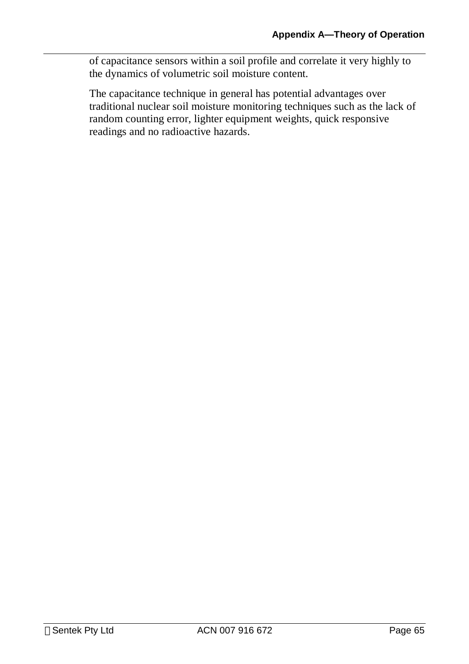of capacitance sensors within a soil profile and correlate it very highly to the dynamics of volumetric soil moisture content.

The capacitance technique in general has potential advantages over traditional nuclear soil moisture monitoring techniques such as the lack of random counting error, lighter equipment weights, quick responsive readings and no radioactive hazards.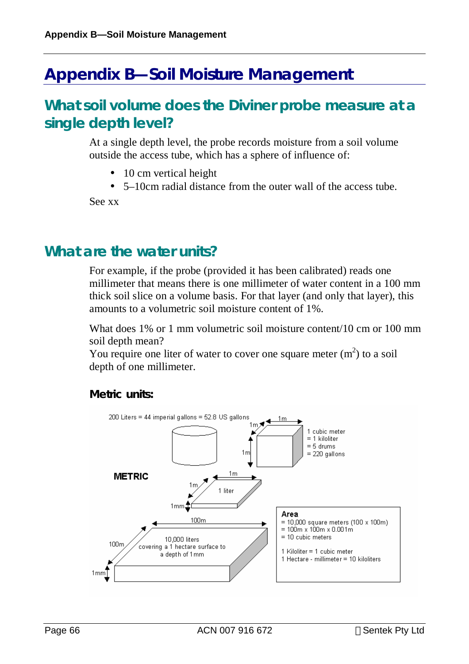# **Appendix B—Soil Moisture Management**

## **What soil volume does the Diviner probe measure at a single depth level?**

At a single depth level, the probe records moisture from a soil volume outside the access tube, which has a sphere of influence of:

- 10 cm vertical height
- 5–10cm radial distance from the outer wall of the access tube.

See xx

### **What are the water units?**

For example, if the probe (provided it has been calibrated) reads one millimeter that means there is one millimeter of water content in a 100 mm thick soil slice on a volume basis. For that layer (and only that layer), this amounts to a volumetric soil moisture content of 1%.

What does 1% or 1 mm volumetric soil moisture content/10 cm or 100 mm soil depth mean?

You require one liter of water to cover one square meter  $(m<sup>2</sup>)$  to a soil depth of one millimeter.

#### **Metric units:**

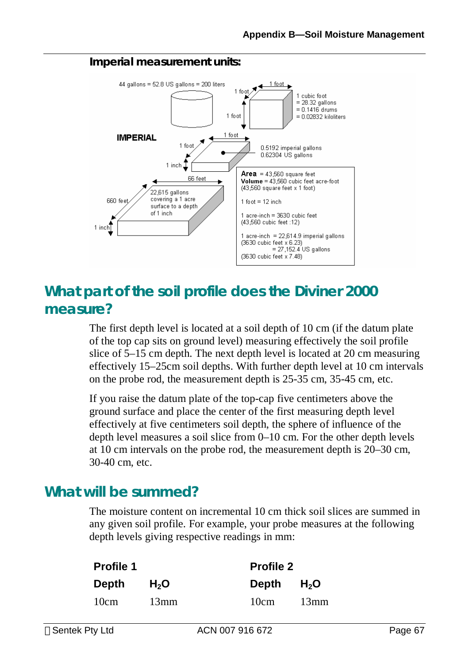#### **Imperial measurement units:**



# **What part of the soil profile does the Diviner 2000 measure?**

The first depth level is located at a soil depth of 10 cm (if the datum plate of the top cap sits on ground level) measuring effectively the soil profile slice of 5–15 cm depth. The next depth level is located at 20 cm measuring effectively 15–25cm soil depths. With further depth level at 10 cm intervals on the probe rod, the measurement depth is 25-35 cm, 35-45 cm, etc.

If you raise the datum plate of the top-cap five centimeters above the ground surface and place the center of the first measuring depth level effectively at five centimeters soil depth, the sphere of influence of the depth level measures a soil slice from 0–10 cm. For the other depth levels at 10 cm intervals on the probe rod, the measurement depth is 20–30 cm, 30-40 cm, etc.

# **What will be summed?**

The moisture content on incremental 10 cm thick soil slices are summed in any given soil profile. For example, your probe measures at the following depth levels giving respective readings in mm:

| <b>Profile 1</b> |                  | <b>Profile 2</b> |        |
|------------------|------------------|------------------|--------|
| Depth            | H <sub>2</sub> O | Depth            | $H_2O$ |
| 10cm             | 13mm             | 10cm             | 13mm   |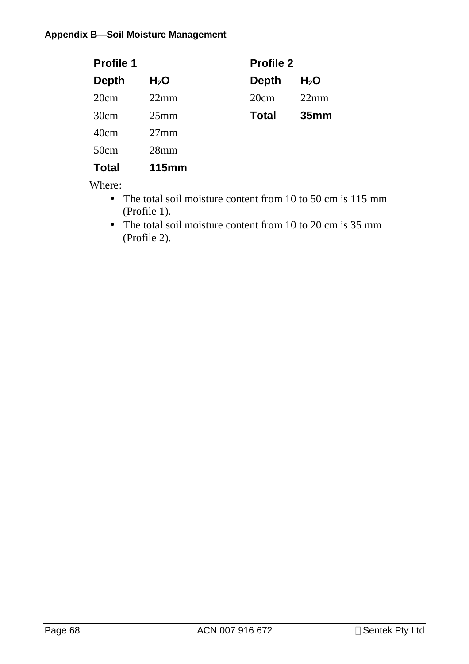| <b>Profile 1</b> |                  | <b>Profile 2</b> |                  |
|------------------|------------------|------------------|------------------|
| <b>Depth</b>     | H <sub>2</sub> O | <b>Depth</b>     | H <sub>2</sub> O |
| 20cm             | 22mm             | 20cm             | 22mm             |
| 30cm             | 25 <sub>mm</sub> | <b>Total</b>     | 35 <sub>mm</sub> |
| 40cm             | $27 \text{mm}$   |                  |                  |
| 50cm             | 28 <sub>mm</sub> |                  |                  |
| <b>Total</b>     | <b>115mm</b>     |                  |                  |

Where:

- The total soil moisture content from 10 to 50 cm is 115 mm (Profile 1).
- The total soil moisture content from 10 to 20 cm is 35 mm (Profile 2).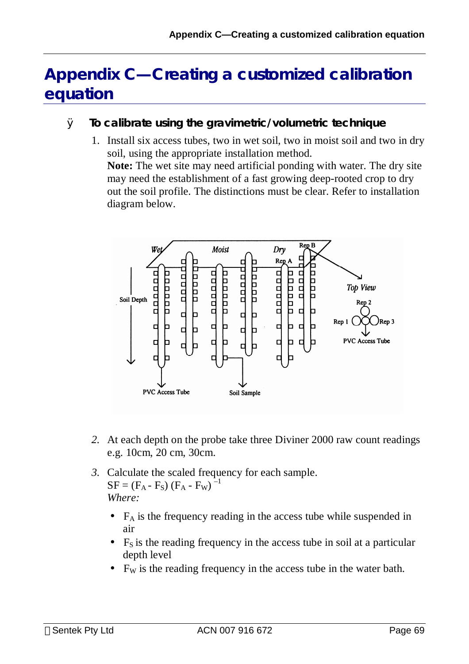# **Appendix C—Creating a customized calibration equation**

- Ø **To calibrate using the gravimetric/volumetric technique** 
	- 1. Install six access tubes, two in wet soil, two in moist soil and two in dry soil, using the appropriate installation method.

**Note:** The wet site may need artificial ponding with water. The dry site may need the establishment of a fast growing deep-rooted crop to dry out the soil profile. The distinctions must be clear. Refer to installation diagram below.



- *2.* At each depth on the probe take three Diviner 2000 raw count readings e.g. 10cm, 20 cm, 30cm.
- *3.* Calculate the scaled frequency for each sample.  $SF = (F_A - F_S) (F_A - F_W)^{-1}$ *Where:* 
	- $\bullet$  F<sub>A</sub> is the frequency reading in the access tube while suspended in air
	- $F<sub>S</sub>$  is the reading frequency in the access tube in soil at a particular depth level
	- $F_w$  is the reading frequency in the access tube in the water bath.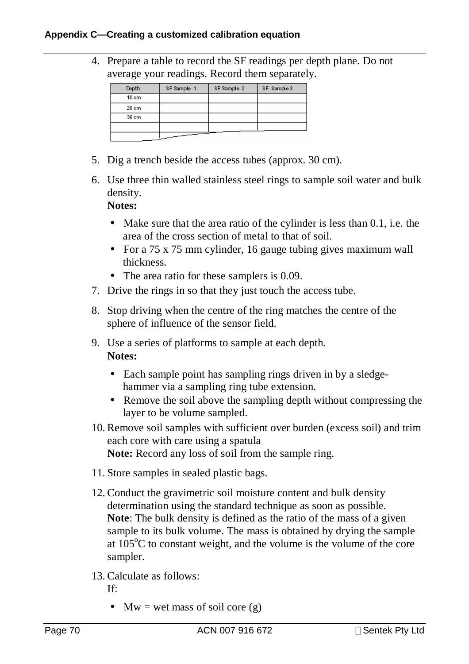4. Prepare a table to record the SF readings per depth plane. Do not average your readings. Record them separately.

| <b>Depth</b> | SF Sample 1 | SF Sample 2 | SF Sample 3 |
|--------------|-------------|-------------|-------------|
| 10 cm        |             |             |             |
| 20 cm        |             |             |             |
| 30 cm        |             |             |             |
|              |             |             |             |
|              |             |             |             |

- 5. Dig a trench beside the access tubes (approx. 30 cm).
- 6. Use three thin walled stainless steel rings to sample soil water and bulk density.

**Notes:**

- Make sure that the area ratio of the cylinder is less than 0.1, i.e. the area of the cross section of metal to that of soil.
- For a 75 x 75 mm cylinder, 16 gauge tubing gives maximum wall thickness.
- The area ratio for these samplers is 0.09.
- 7. Drive the rings in so that they just touch the access tube.
- 8. Stop driving when the centre of the ring matches the centre of the sphere of influence of the sensor field.
- 9. Use a series of platforms to sample at each depth. **Notes:**
	- Each sample point has sampling rings driven in by a sledgehammer via a sampling ring tube extension.
	- Remove the soil above the sampling depth without compressing the layer to be volume sampled.
- 10. Remove soil samples with sufficient over burden (excess soil) and trim each core with care using a spatula **Note:** Record any loss of soil from the sample ring.
- 11. Store samples in sealed plastic bags.
- 12. Conduct the gravimetric soil moisture content and bulk density determination using the standard technique as soon as possible. **Note**: The bulk density is defined as the ratio of the mass of a given sample to its bulk volume. The mass is obtained by drying the sample at  $105^{\circ}$ C to constant weight, and the volume is the volume of the core sampler.
- 13. Calculate as follows:
	- If:
		- $Mw = wet mass of soil core (g)$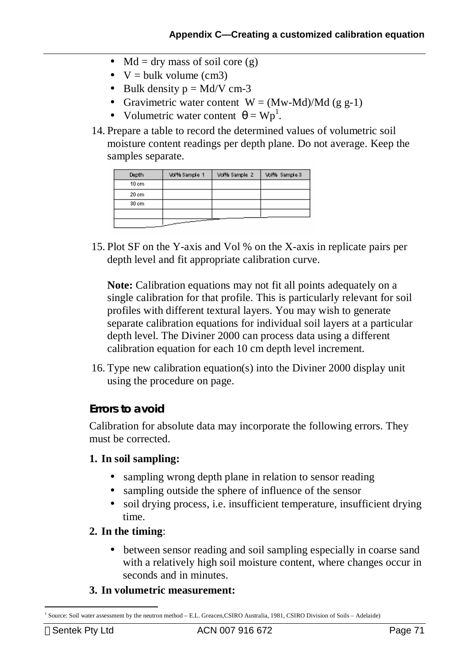- Md = dry mass of soil core  $(g)$
- $V = \text{bulk volume (cm3)}$
- Bulk density  $p = Md/V$  cm-3
- Gravimetric water content  $W = (Mw-Md)/Md$  (g g-1)
- Volumetric water content  $\theta = Wp^1$ .
- 14. Prepare a table to record the determined values of volumetric soil moisture content readings per depth plane. Do not average. Keep the samples separate.

| Depth | Vol% Sample 1 | Vol% Sample 2 | Vol% Sample 3 |
|-------|---------------|---------------|---------------|
| 10 cm |               |               |               |
| 20 cm |               |               |               |
| 30 cm |               |               |               |
|       |               |               |               |
|       |               |               |               |

15. Plot SF on the Y-axis and Vol % on the X-axis in replicate pairs per depth level and fit appropriate calibration curve.

**Note:** Calibration equations may not fit all points adequately on a single calibration for that profile. This is particularly relevant for soil profiles with different textural layers. You may wish to generate separate calibration equations for individual soil layers at a particular depth level. The Diviner 2000 can process data using a different calibration equation for each 10 cm depth level increment.

16. Type new calibration equation(s) into the Diviner 2000 display unit using the procedure on page.

### **Errors to avoid**

Calibration for absolute data may incorporate the following errors. They must be corrected.

### **1. In soil sampling:**

- sampling wrong depth plane in relation to sensor reading
- sampling outside the sphere of influence of the sensor
- soil drying process, i.e. insufficient temperature, insufficient drying time.

### **2. In the timing**:

• between sensor reading and soil sampling especially in coarse sand with a relatively high soil moisture content, where changes occur in seconds and in minutes.

### **3. In volumetric measurement:**

 $\overline{a}$ <sup>1</sup> Source: Soil water assessment by the neutron method – E.L. Greacen, CSIRO Australia, 1981, CSIRO Division of Soils – Adelaide)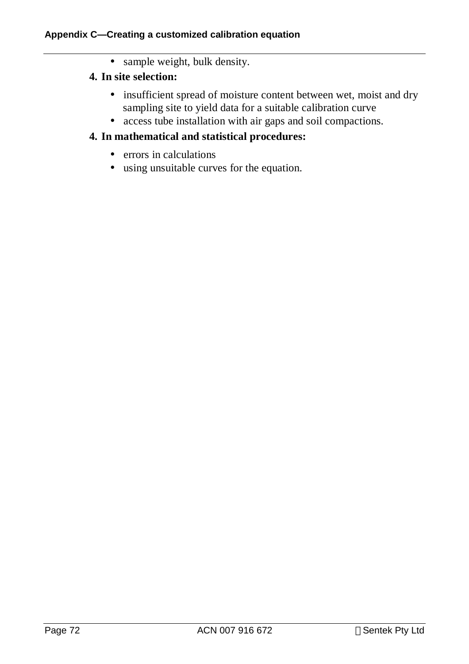• sample weight, bulk density.

# **4. In site selection:**

- insufficient spread of moisture content between wet, moist and dry sampling site to yield data for a suitable calibration curve
- access tube installation with air gaps and soil compactions.

### **4. In mathematical and statistical procedures:**

- errors in calculations
- using unsuitable curves for the equation.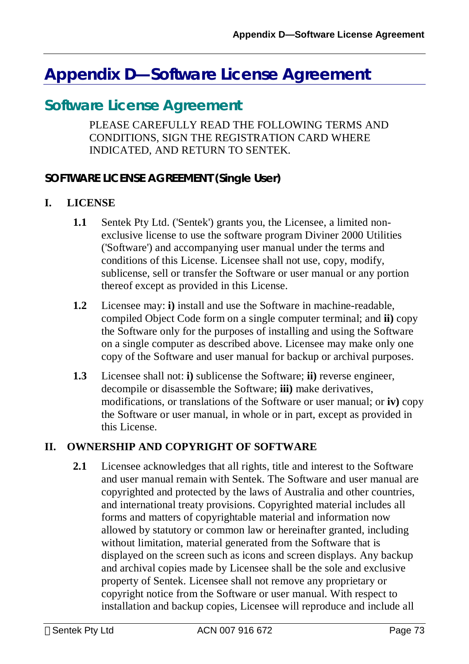# **Appendix D—Software License Agreement**

# **Software License Agreement**

PLEASE CAREFULLY READ THE FOLLOWING TERMS AND CONDITIONS, SIGN THE REGISTRATION CARD WHERE INDICATED, AND RETURN TO SENTEK.

# **SOFTWARE LICENSE AGREEMENT (Single User)**

#### **I. LICENSE**

- **1.1** Sentek Pty Ltd. ('Sentek') grants you, the Licensee, a limited nonexclusive license to use the software program Diviner 2000 Utilities ('Software') and accompanying user manual under the terms and conditions of this License. Licensee shall not use, copy, modify, sublicense, sell or transfer the Software or user manual or any portion thereof except as provided in this License.
- **1.2** Licensee may: **i)** install and use the Software in machine-readable, compiled Object Code form on a single computer terminal; and **ii)** copy the Software only for the purposes of installing and using the Software on a single computer as described above. Licensee may make only one copy of the Software and user manual for backup or archival purposes.
- **1.3** Licensee shall not: **i)** sublicense the Software; **ii)** reverse engineer, decompile or disassemble the Software; **iii)** make derivatives, modifications, or translations of the Software or user manual; or **iv)** copy the Software or user manual, in whole or in part, except as provided in this License.

#### **II. OWNERSHIP AND COPYRIGHT OF SOFTWARE**

**2.1** Licensee acknowledges that all rights, title and interest to the Software and user manual remain with Sentek. The Software and user manual are copyrighted and protected by the laws of Australia and other countries, and international treaty provisions. Copyrighted material includes all forms and matters of copyrightable material and information now allowed by statutory or common law or hereinafter granted, including without limitation, material generated from the Software that is displayed on the screen such as icons and screen displays. Any backup and archival copies made by Licensee shall be the sole and exclusive property of Sentek. Licensee shall not remove any proprietary or copyright notice from the Software or user manual. With respect to installation and backup copies, Licensee will reproduce and include all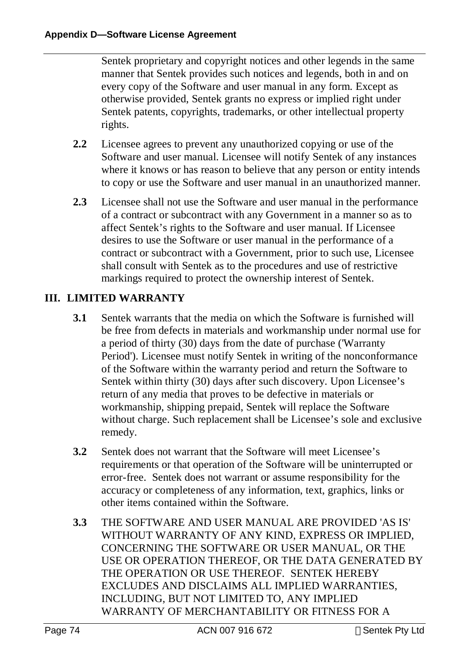Sentek proprietary and copyright notices and other legends in the same manner that Sentek provides such notices and legends, both in and on every copy of the Software and user manual in any form. Except as otherwise provided, Sentek grants no express or implied right under Sentek patents, copyrights, trademarks, or other intellectual property rights.

- **2.2** Licensee agrees to prevent any unauthorized copying or use of the Software and user manual. Licensee will notify Sentek of any instances where it knows or has reason to believe that any person or entity intends to copy or use the Software and user manual in an unauthorized manner.
- **2.3** Licensee shall not use the Software and user manual in the performance of a contract or subcontract with any Government in a manner so as to affect Sentek's rights to the Software and user manual. If Licensee desires to use the Software or user manual in the performance of a contract or subcontract with a Government, prior to such use, Licensee shall consult with Sentek as to the procedures and use of restrictive markings required to protect the ownership interest of Sentek.

# **III. LIMITED WARRANTY**

- **3.1** Sentek warrants that the media on which the Software is furnished will be free from defects in materials and workmanship under normal use for a period of thirty (30) days from the date of purchase ('Warranty Period'). Licensee must notify Sentek in writing of the nonconformance of the Software within the warranty period and return the Software to Sentek within thirty (30) days after such discovery. Upon Licensee's return of any media that proves to be defective in materials or workmanship, shipping prepaid, Sentek will replace the Software without charge. Such replacement shall be Licensee's sole and exclusive remedy.
- **3.2** Sentek does not warrant that the Software will meet Licensee's requirements or that operation of the Software will be uninterrupted or error-free. Sentek does not warrant or assume responsibility for the accuracy or completeness of any information, text, graphics, links or other items contained within the Software.
- **3.3** THE SOFTWARE AND USER MANUAL ARE PROVIDED 'AS IS' WITHOUT WARRANTY OF ANY KIND, EXPRESS OR IMPLIED, CONCERNING THE SOFTWARE OR USER MANUAL, OR THE USE OR OPERATION THEREOF, OR THE DATA GENERATED BY THE OPERATION OR USE THEREOF. SENTEK HEREBY EXCLUDES AND DISCLAIMS ALL IMPLIED WARRANTIES, INCLUDING, BUT NOT LIMITED TO, ANY IMPLIED WARRANTY OF MERCHANTABILITY OR FITNESS FOR A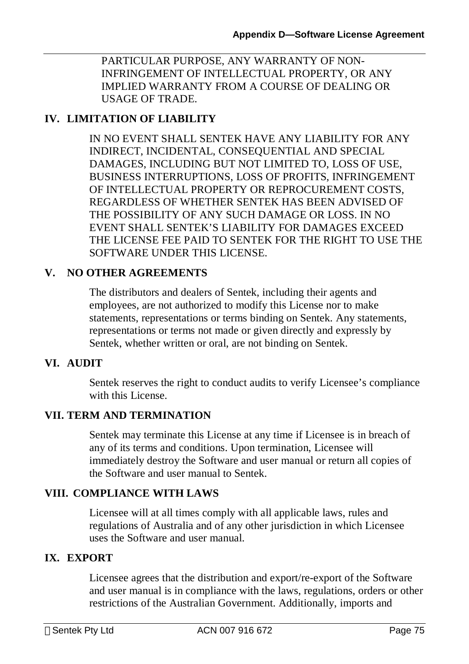PARTICULAR PURPOSE, ANY WARRANTY OF NON-INFRINGEMENT OF INTELLECTUAL PROPERTY, OR ANY IMPLIED WARRANTY FROM A COURSE OF DEALING OR USAGE OF TRADE.

# **IV. LIMITATION OF LIABILITY**

IN NO EVENT SHALL SENTEK HAVE ANY LIABILITY FOR ANY INDIRECT, INCIDENTAL, CONSEQUENTIAL AND SPECIAL DAMAGES, INCLUDING BUT NOT LIMITED TO, LOSS OF USE, BUSINESS INTERRUPTIONS, LOSS OF PROFITS, INFRINGEMENT OF INTELLECTUAL PROPERTY OR REPROCUREMENT COSTS, REGARDLESS OF WHETHER SENTEK HAS BEEN ADVISED OF THE POSSIBILITY OF ANY SUCH DAMAGE OR LOSS. IN NO EVENT SHALL SENTEK'S LIABILITY FOR DAMAGES EXCEED THE LICENSE FEE PAID TO SENTEK FOR THE RIGHT TO USE THE SOFTWARE UNDER THIS LICENSE.

## **V. NO OTHER AGREEMENTS**

The distributors and dealers of Sentek, including their agents and employees, are not authorized to modify this License nor to make statements, representations or terms binding on Sentek. Any statements, representations or terms not made or given directly and expressly by Sentek, whether written or oral, are not binding on Sentek.

### **VI. AUDIT**

Sentek reserves the right to conduct audits to verify Licensee's compliance with this License.

### **VII. TERM AND TERMINATION**

Sentek may terminate this License at any time if Licensee is in breach of any of its terms and conditions. Upon termination, Licensee will immediately destroy the Software and user manual or return all copies of the Software and user manual to Sentek.

### **VIII. COMPLIANCE WITH LAWS**

Licensee will at all times comply with all applicable laws, rules and regulations of Australia and of any other jurisdiction in which Licensee uses the Software and user manual.

## **IX. EXPORT**

Licensee agrees that the distribution and export/re-export of the Software and user manual is in compliance with the laws, regulations, orders or other restrictions of the Australian Government. Additionally, imports and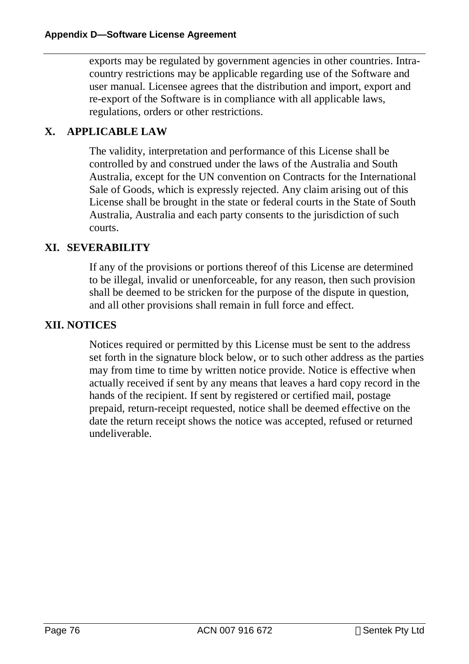exports may be regulated by government agencies in other countries. Intracountry restrictions may be applicable regarding use of the Software and user manual. Licensee agrees that the distribution and import, export and re-export of the Software is in compliance with all applicable laws, regulations, orders or other restrictions.

## **X. APPLICABLE LAW**

The validity, interpretation and performance of this License shall be controlled by and construed under the laws of the Australia and South Australia, except for the UN convention on Contracts for the International Sale of Goods, which is expressly rejected. Any claim arising out of this License shall be brought in the state or federal courts in the State of South Australia, Australia and each party consents to the jurisdiction of such courts.

### **XI. SEVERABILITY**

If any of the provisions or portions thereof of this License are determined to be illegal, invalid or unenforceable, for any reason, then such provision shall be deemed to be stricken for the purpose of the dispute in question, and all other provisions shall remain in full force and effect.

### **XII. NOTICES**

Notices required or permitted by this License must be sent to the address set forth in the signature block below, or to such other address as the parties may from time to time by written notice provide. Notice is effective when actually received if sent by any means that leaves a hard copy record in the hands of the recipient. If sent by registered or certified mail, postage prepaid, return-receipt requested, notice shall be deemed effective on the date the return receipt shows the notice was accepted, refused or returned undeliverable.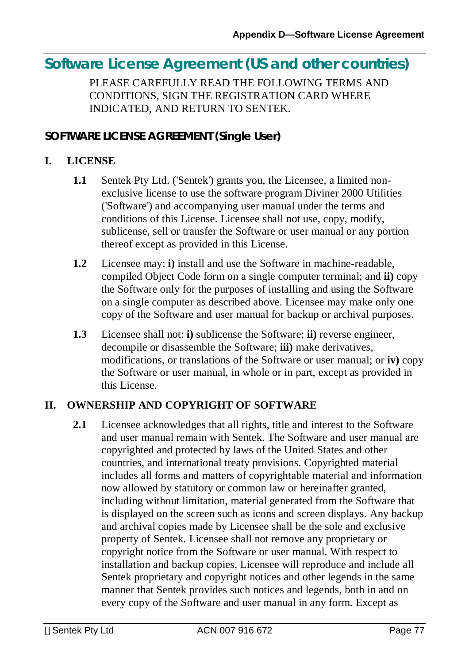# **Software License Agreement (US and other countries)**

PLEASE CAREFULLY READ THE FOLLOWING TERMS AND CONDITIONS, SIGN THE REGISTRATION CARD WHERE INDICATED, AND RETURN TO SENTEK.

# **SOFTWARE LICENSE AGREEMENT (Single User)**

### **I. LICENSE**

- **1.1** Sentek Pty Ltd. ('Sentek') grants you, the Licensee, a limited nonexclusive license to use the software program Diviner 2000 Utilities ('Software') and accompanying user manual under the terms and conditions of this License. Licensee shall not use, copy, modify, sublicense, sell or transfer the Software or user manual or any portion thereof except as provided in this License.
- **1.2** Licensee may: **i)** install and use the Software in machine-readable, compiled Object Code form on a single computer terminal; and **ii)** copy the Software only for the purposes of installing and using the Software on a single computer as described above. Licensee may make only one copy of the Software and user manual for backup or archival purposes.
- **1.3** Licensee shall not: **i)** sublicense the Software; **ii)** reverse engineer, decompile or disassemble the Software; **iii)** make derivatives, modifications, or translations of the Software or user manual; or **iv)** copy the Software or user manual, in whole or in part, except as provided in this License.

### **II. OWNERSHIP AND COPYRIGHT OF SOFTWARE**

**2.1** Licensee acknowledges that all rights, title and interest to the Software and user manual remain with Sentek. The Software and user manual are copyrighted and protected by laws of the United States and other countries, and international treaty provisions. Copyrighted material includes all forms and matters of copyrightable material and information now allowed by statutory or common law or hereinafter granted, including without limitation, material generated from the Software that is displayed on the screen such as icons and screen displays. Any backup and archival copies made by Licensee shall be the sole and exclusive property of Sentek. Licensee shall not remove any proprietary or copyright notice from the Software or user manual. With respect to installation and backup copies, Licensee will reproduce and include all Sentek proprietary and copyright notices and other legends in the same manner that Sentek provides such notices and legends, both in and on every copy of the Software and user manual in any form. Except as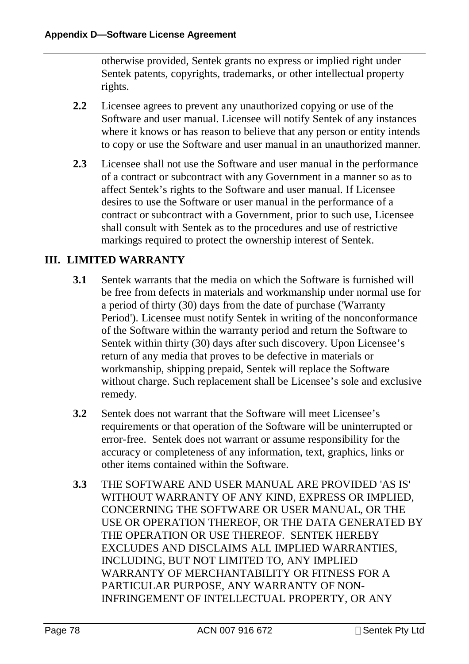otherwise provided, Sentek grants no express or implied right under Sentek patents, copyrights, trademarks, or other intellectual property rights.

- **2.2** Licensee agrees to prevent any unauthorized copying or use of the Software and user manual. Licensee will notify Sentek of any instances where it knows or has reason to believe that any person or entity intends to copy or use the Software and user manual in an unauthorized manner.
- **2.3** Licensee shall not use the Software and user manual in the performance of a contract or subcontract with any Government in a manner so as to affect Sentek's rights to the Software and user manual. If Licensee desires to use the Software or user manual in the performance of a contract or subcontract with a Government, prior to such use, Licensee shall consult with Sentek as to the procedures and use of restrictive markings required to protect the ownership interest of Sentek.

## **III. LIMITED WARRANTY**

- **3.1** Sentek warrants that the media on which the Software is furnished will be free from defects in materials and workmanship under normal use for a period of thirty (30) days from the date of purchase ('Warranty Period'). Licensee must notify Sentek in writing of the nonconformance of the Software within the warranty period and return the Software to Sentek within thirty (30) days after such discovery. Upon Licensee's return of any media that proves to be defective in materials or workmanship, shipping prepaid, Sentek will replace the Software without charge. Such replacement shall be Licensee's sole and exclusive remedy.
- **3.2** Sentek does not warrant that the Software will meet Licensee's requirements or that operation of the Software will be uninterrupted or error-free. Sentek does not warrant or assume responsibility for the accuracy or completeness of any information, text, graphics, links or other items contained within the Software.
- **3.3** THE SOFTWARE AND USER MANUAL ARE PROVIDED 'AS IS' WITHOUT WARRANTY OF ANY KIND, EXPRESS OR IMPLIED, CONCERNING THE SOFTWARE OR USER MANUAL, OR THE USE OR OPERATION THEREOF, OR THE DATA GENERATED BY THE OPERATION OR USE THEREOF. SENTEK HEREBY EXCLUDES AND DISCLAIMS ALL IMPLIED WARRANTIES, INCLUDING, BUT NOT LIMITED TO, ANY IMPLIED WARRANTY OF MERCHANTABILITY OR FITNESS FOR A PARTICULAR PURPOSE, ANY WARRANTY OF NON-INFRINGEMENT OF INTELLECTUAL PROPERTY, OR ANY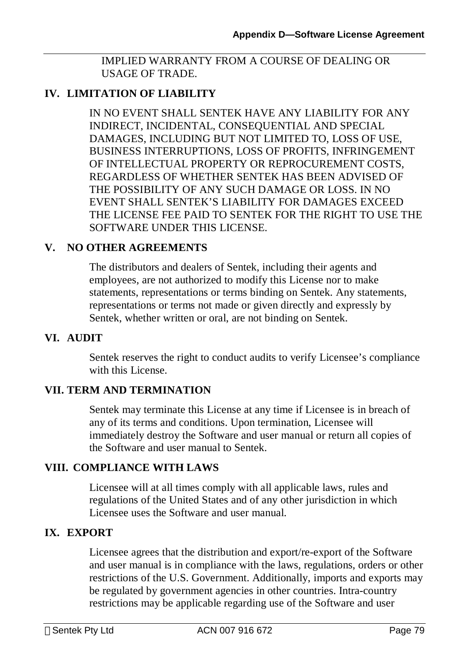IMPLIED WARRANTY FROM A COURSE OF DEALING OR USAGE OF TRADE.

### **IV. LIMITATION OF LIABILITY**

IN NO EVENT SHALL SENTEK HAVE ANY LIABILITY FOR ANY INDIRECT, INCIDENTAL, CONSEQUENTIAL AND SPECIAL DAMAGES, INCLUDING BUT NOT LIMITED TO, LOSS OF USE, BUSINESS INTERRUPTIONS, LOSS OF PROFITS, INFRINGEMENT OF INTELLECTUAL PROPERTY OR REPROCUREMENT COSTS, REGARDLESS OF WHETHER SENTEK HAS BEEN ADVISED OF THE POSSIBILITY OF ANY SUCH DAMAGE OR LOSS. IN NO EVENT SHALL SENTEK'S LIABILITY FOR DAMAGES EXCEED THE LICENSE FEE PAID TO SENTEK FOR THE RIGHT TO USE THE SOFTWARE UNDER THIS LICENSE.

### **V. NO OTHER AGREEMENTS**

The distributors and dealers of Sentek, including their agents and employees, are not authorized to modify this License nor to make statements, representations or terms binding on Sentek. Any statements, representations or terms not made or given directly and expressly by Sentek, whether written or oral, are not binding on Sentek.

#### **VI. AUDIT**

Sentek reserves the right to conduct audits to verify Licensee's compliance with this License.

#### **VII. TERM AND TERMINATION**

Sentek may terminate this License at any time if Licensee is in breach of any of its terms and conditions. Upon termination, Licensee will immediately destroy the Software and user manual or return all copies of the Software and user manual to Sentek.

#### **VIII. COMPLIANCE WITH LAWS**

Licensee will at all times comply with all applicable laws, rules and regulations of the United States and of any other jurisdiction in which Licensee uses the Software and user manual.

#### **IX. EXPORT**

Licensee agrees that the distribution and export/re-export of the Software and user manual is in compliance with the laws, regulations, orders or other restrictions of the U.S. Government. Additionally, imports and exports may be regulated by government agencies in other countries. Intra-country restrictions may be applicable regarding use of the Software and user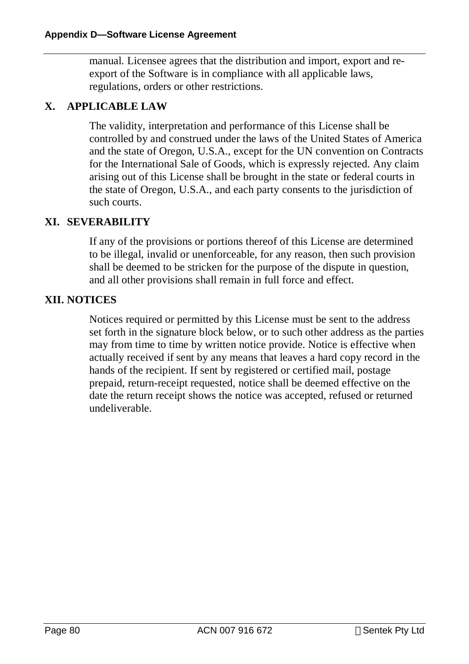manual. Licensee agrees that the distribution and import, export and reexport of the Software is in compliance with all applicable laws, regulations, orders or other restrictions.

#### **X. APPLICABLE LAW**

The validity, interpretation and performance of this License shall be controlled by and construed under the laws of the United States of America and the state of Oregon, U.S.A., except for the UN convention on Contracts for the International Sale of Goods, which is expressly rejected. Any claim arising out of this License shall be brought in the state or federal courts in the state of Oregon, U.S.A., and each party consents to the jurisdiction of such courts.

#### **XI. SEVERABILITY**

If any of the provisions or portions thereof of this License are determined to be illegal, invalid or unenforceable, for any reason, then such provision shall be deemed to be stricken for the purpose of the dispute in question, and all other provisions shall remain in full force and effect.

#### **XII. NOTICES**

Notices required or permitted by this License must be sent to the address set forth in the signature block below, or to such other address as the parties may from time to time by written notice provide. Notice is effective when actually received if sent by any means that leaves a hard copy record in the hands of the recipient. If sent by registered or certified mail, postage prepaid, return-receipt requested, notice shall be deemed effective on the date the return receipt shows the notice was accepted, refused or returned undeliverable.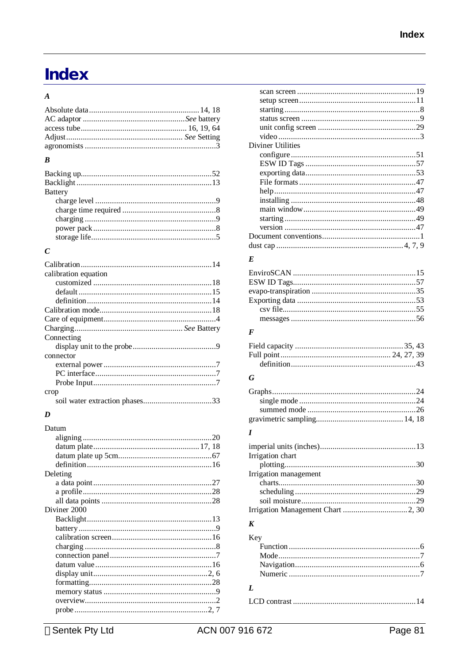# Index

# $\boldsymbol{A}$

#### $\boldsymbol{B}$

| <b>Battery</b> |  |
|----------------|--|
|                |  |
|                |  |
|                |  |
|                |  |
|                |  |
|                |  |

# $\boldsymbol{C}$

| calibration equation |
|----------------------|
|                      |
|                      |
|                      |
|                      |
|                      |
|                      |
| Connecting           |
|                      |
|                      |
| connector            |
|                      |
|                      |
|                      |
| crop                 |

# $\boldsymbol{D}$

| Datum        |  |
|--------------|--|
|              |  |
|              |  |
|              |  |
|              |  |
| Deleting     |  |
|              |  |
|              |  |
|              |  |
| Diviner 2000 |  |
|              |  |
|              |  |
|              |  |
|              |  |
|              |  |
|              |  |
|              |  |
|              |  |
|              |  |
|              |  |
|              |  |
|              |  |

| Diviner Utilities |  |
|-------------------|--|
|                   |  |
|                   |  |
|                   |  |
|                   |  |
|                   |  |
|                   |  |
|                   |  |
|                   |  |
|                   |  |
|                   |  |
|                   |  |
|                   |  |

## $\boldsymbol{E}$

#### $\boldsymbol{F}$

| definition 43 |  |
|---------------|--|

## $\boldsymbol{G}$

#### $\boldsymbol{I}$

| Irrigation chart      |  |
|-----------------------|--|
|                       |  |
| Irrigation management |  |
|                       |  |
|                       |  |
|                       |  |
|                       |  |
|                       |  |

#### $\boldsymbol{K}$